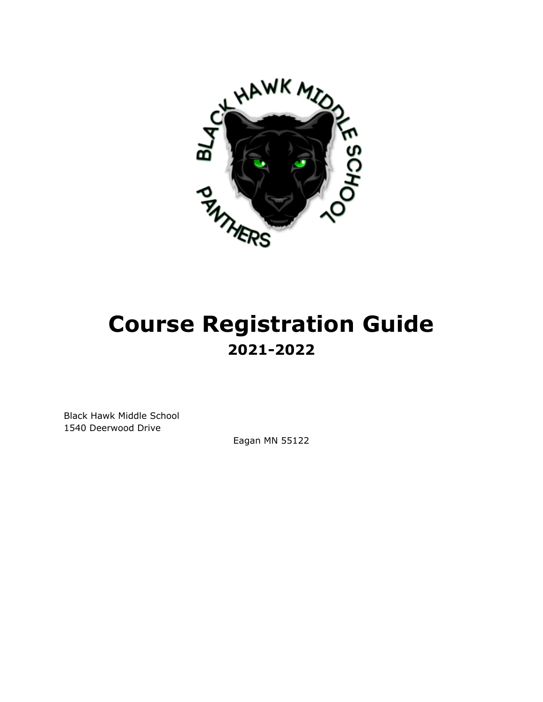

# **Course Registration Guide 2021-2022**

Black Hawk Middle School 1540 Deerwood Drive

Eagan MN 55122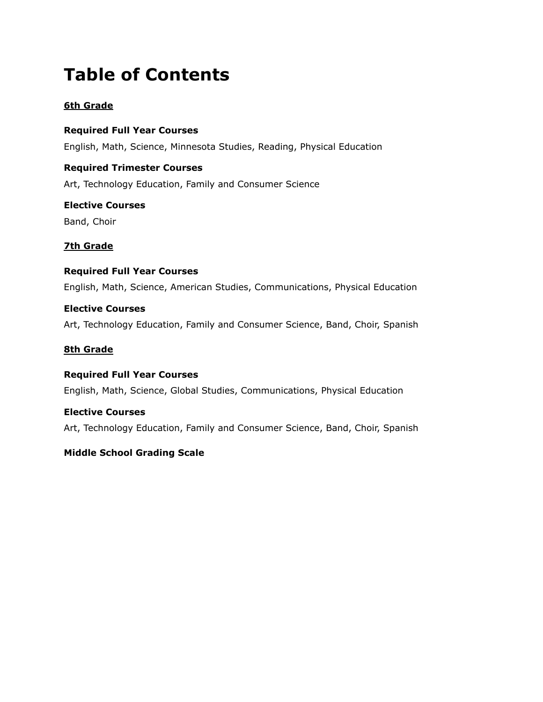## **Table of Contents**

## **6th Grade**

**Required Full Year Courses** English, Math, Science, Minnesota Studies, Reading, Physical Education

**Required Trimester Courses** Art, Technology Education, Family and Consumer Science

**Elective Courses** Band, Choir

## **7th Grade**

## **Required Full Year Courses**

English, Math, Science, American Studies, Communications, Physical Education

## **Elective Courses**

Art, Technology Education, Family and Consumer Science, Band, Choir, Spanish

#### **8th Grade**

## **Required Full Year Courses**

English, Math, Science, Global Studies, Communications, Physical Education

## **Elective Courses**

Art, Technology Education, Family and Consumer Science, Band, Choir, Spanish

## **Middle School Grading Scale**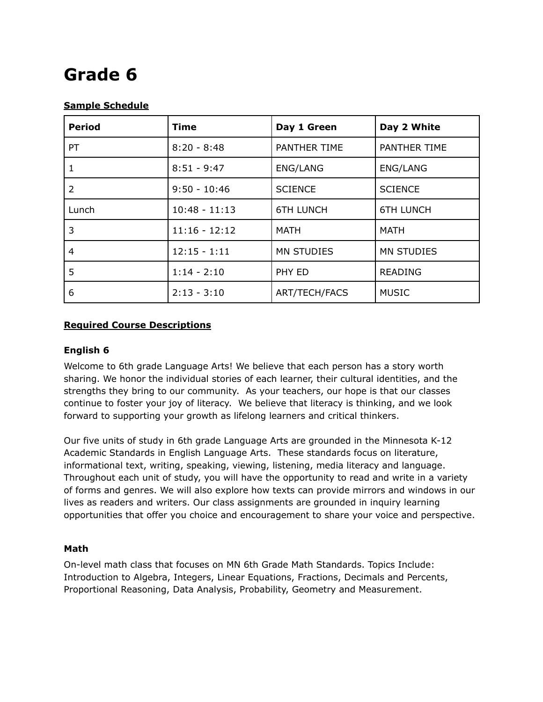## **Grade 6**

## **Sample Schedule**

| <b>Period</b>  | <b>Time</b>     | Day 1 Green          | Day 2 White       |
|----------------|-----------------|----------------------|-------------------|
| <b>PT</b>      | $8:20 - 8:48$   | PANTHER TIME         | PANTHER TIME      |
| 1              | $8:51 - 9:47$   | ENG/LANG             | ENG/LANG          |
| $\overline{2}$ | $9:50 - 10:46$  | <b>SCIENCE</b>       | <b>SCIENCE</b>    |
| Lunch          | $10:48 - 11:13$ | <b>6TH LUNCH</b>     | <b>6TH LUNCH</b>  |
| 3              | $11:16 - 12:12$ | <b>MATH</b>          | <b>MATH</b>       |
| 4              | $12:15 - 1:11$  | <b>MN STUDIES</b>    | <b>MN STUDIES</b> |
| 5              | $1:14 - 2:10$   | PHY ED               | <b>READING</b>    |
| 6              | $2:13 - 3:10$   | <b>ART/TECH/FACS</b> | <b>MUSIC</b>      |

## **Required Course Descriptions**

## **English 6**

Welcome to 6th grade Language Arts! We believe that each person has a story worth sharing. We honor the individual stories of each learner, their cultural identities, and the strengths they bring to our community. As your teachers, our hope is that our classes continue to foster your joy of literacy. We believe that literacy is thinking, and we look forward to supporting your growth as lifelong learners and critical thinkers.

Our five units of study in 6th grade Language Arts are grounded in the Minnesota K-12 Academic Standards in English Language Arts. These standards focus on literature, informational text, writing, speaking, viewing, listening, media literacy and language. Throughout each unit of study, you will have the opportunity to read and write in a variety of forms and genres. We will also explore how texts can provide mirrors and windows in our lives as readers and writers. Our class assignments are grounded in inquiry learning opportunities that offer you choice and encouragement to share your voice and perspective.

## **Math**

On-level math class that focuses on MN 6th Grade Math Standards. Topics Include: Introduction to Algebra, Integers, Linear Equations, Fractions, Decimals and Percents, Proportional Reasoning, Data Analysis, Probability, Geometry and Measurement.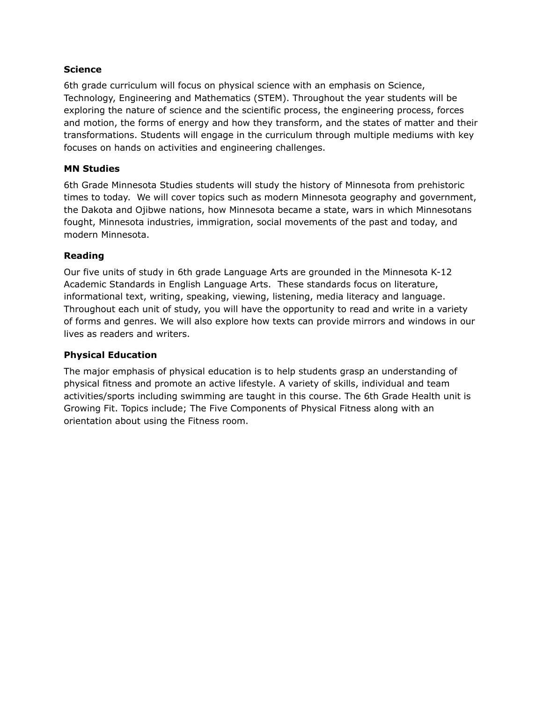#### **Science**

6th grade curriculum will focus on physical science with an emphasis on Science, Technology, Engineering and Mathematics (STEM). Throughout the year students will be exploring the nature of science and the scientific process, the engineering process, forces and motion, the forms of energy and how they transform, and the states of matter and their transformations. Students will engage in the curriculum through multiple mediums with key focuses on hands on activities and engineering challenges.

## **MN Studies**

6th Grade Minnesota Studies students will study the history of Minnesota from prehistoric times to today. We will cover topics such as modern Minnesota geography and government, the Dakota and Ojibwe nations, how Minnesota became a state, wars in which Minnesotans fought, Minnesota industries, immigration, social movements of the past and today, and modern Minnesota.

#### **Reading**

Our five units of study in 6th grade Language Arts are grounded in the Minnesota K-12 Academic Standards in English Language Arts. These standards focus on literature, informational text, writing, speaking, viewing, listening, media literacy and language. Throughout each unit of study, you will have the opportunity to read and write in a variety of forms and genres. We will also explore how texts can provide mirrors and windows in our lives as readers and writers.

#### **Physical Education**

The major emphasis of physical education is to help students grasp an understanding of physical fitness and promote an active lifestyle. A variety of skills, individual and team activities/sports including swimming are taught in this course. The 6th Grade Health unit is Growing Fit. Topics include; The Five Components of Physical Fitness along with an orientation about using the Fitness room.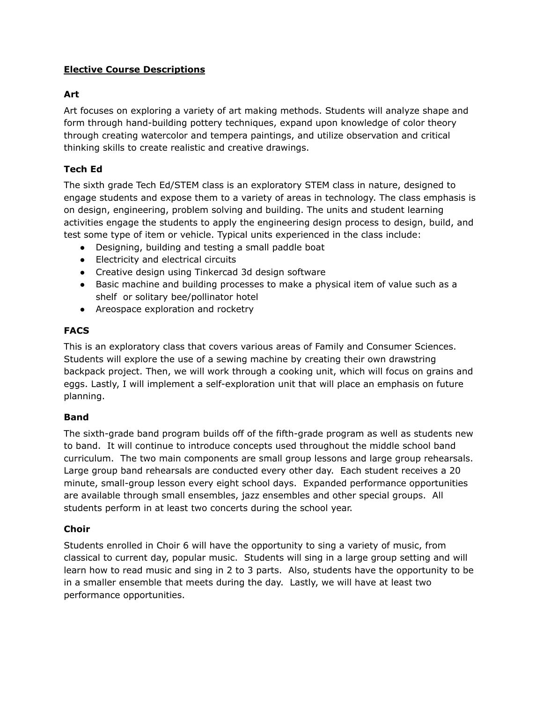## **Elective Course Descriptions**

## **Art**

Art focuses on exploring a variety of art making methods. Students will analyze shape and form through hand-building pottery techniques, expand upon knowledge of color theory through creating watercolor and tempera paintings, and utilize observation and critical thinking skills to create realistic and creative drawings.

## **Tech Ed**

The sixth grade Tech Ed/STEM class is an exploratory STEM class in nature, designed to engage students and expose them to a variety of areas in technology. The class emphasis is on design, engineering, problem solving and building. The units and student learning activities engage the students to apply the engineering design process to design, build, and test some type of item or vehicle. Typical units experienced in the class include:

- Designing, building and testing a small paddle boat
- Electricity and electrical circuits
- Creative design using Tinkercad 3d design software
- Basic machine and building processes to make a physical item of value such as a shelf or solitary bee/pollinator hotel
- Areospace exploration and rocketry

## **FACS**

This is an exploratory class that covers various areas of Family and Consumer Sciences. Students will explore the use of a sewing machine by creating their own drawstring backpack project. Then, we will work through a cooking unit, which will focus on grains and eggs. Lastly, I will implement a self-exploration unit that will place an emphasis on future planning.

## **Band**

The sixth-grade band program builds off of the fifth-grade program as well as students new to band. It will continue to introduce concepts used throughout the middle school band curriculum. The two main components are small group lessons and large group rehearsals. Large group band rehearsals are conducted every other day. Each student receives a 20 minute, small-group lesson every eight school days. Expanded performance opportunities are available through small ensembles, jazz ensembles and other special groups. All students perform in at least two concerts during the school year.

## **Choir**

Students enrolled in Choir 6 will have the opportunity to sing a variety of music, from classical to current day, popular music. Students will sing in a large group setting and will learn how to read music and sing in 2 to 3 parts. Also, students have the opportunity to be in a smaller ensemble that meets during the day. Lastly, we will have at least two performance opportunities.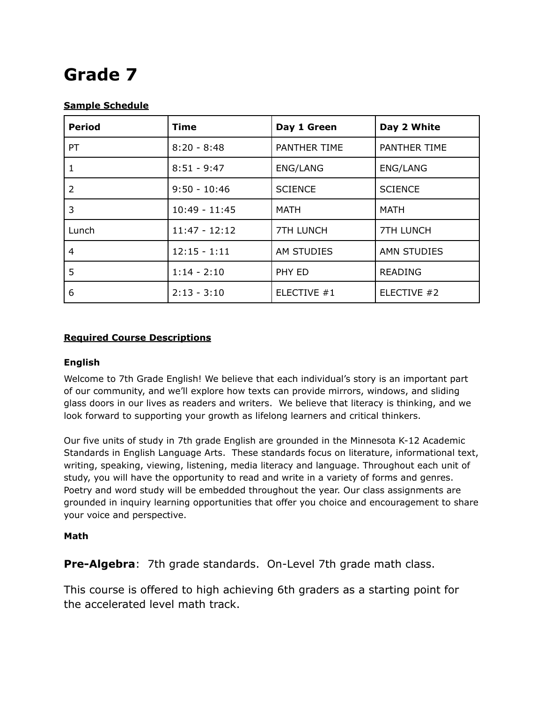## **Grade 7**

## **Sample Schedule**

| <b>Period</b>  | <b>Time</b>     | Day 1 Green      | Day 2 White        |
|----------------|-----------------|------------------|--------------------|
| <b>PT</b>      | $8:20 - 8:48$   | PANTHER TIME     | PANTHER TIME       |
| 1              | $8:51 - 9:47$   | <b>ENG/LANG</b>  | ENG/LANG           |
| $\overline{2}$ | $9:50 - 10:46$  | <b>SCIENCE</b>   | <b>SCIENCE</b>     |
| 3              | $10:49 - 11:45$ | <b>MATH</b>      | <b>MATH</b>        |
| Lunch          | $11:47 - 12:12$ | <b>7TH LUNCH</b> | <b>7TH LUNCH</b>   |
| 4              | $12:15 - 1:11$  | AM STUDIES       | <b>AMN STUDIES</b> |
| 5              | $1:14 - 2:10$   | PHY ED           | <b>READING</b>     |
| 6              | $2:13 - 3:10$   | ELECTIVE #1      | ELECTIVE #2        |

## **Required Course Descriptions**

## **English**

Welcome to 7th Grade English! We believe that each individual's story is an important part of our community, and we'll explore how texts can provide mirrors, windows, and sliding glass doors in our lives as readers and writers. We believe that literacy is thinking, and we look forward to supporting your growth as lifelong learners and critical thinkers.

Our five units of study in 7th grade English are grounded in the Minnesota K-12 Academic Standards in English Language Arts. These standards focus on literature, informational text, writing, speaking, viewing, listening, media literacy and language. Throughout each unit of study, you will have the opportunity to read and write in a variety of forms and genres. Poetry and word study will be embedded throughout the year. Our class assignments are grounded in inquiry learning opportunities that offer you choice and encouragement to share your voice and perspective.

## **Math**

**Pre-Algebra**: 7th grade standards. On-Level 7th grade math class.

This course is offered to high achieving 6th graders as a starting point for the accelerated level math track.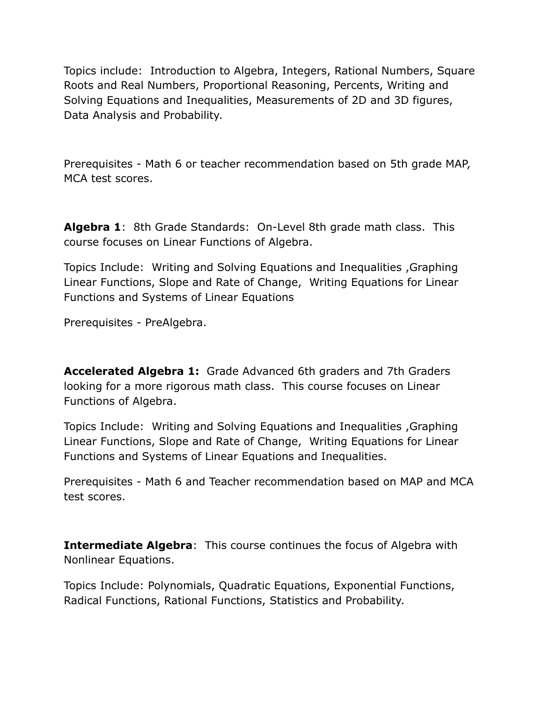Topics include: Introduction to Algebra, Integers, Rational Numbers, Square Roots and Real Numbers, Proportional Reasoning, Percents, Writing and Solving Equations and Inequalities, Measurements of 2D and 3D figures, Data Analysis and Probability.

Prerequisites - Math 6 or teacher recommendation based on 5th grade MAP, MCA test scores.

**Algebra 1**: 8th Grade Standards: On-Level 8th grade math class. This course focuses on Linear Functions of Algebra.

Topics Include: Writing and Solving Equations and Inequalities ,Graphing Linear Functions, Slope and Rate of Change, Writing Equations for Linear Functions and Systems of Linear Equations

Prerequisites - PreAlgebra.

**Accelerated Algebra 1:** Grade Advanced 6th graders and 7th Graders looking for a more rigorous math class. This course focuses on Linear Functions of Algebra.

Topics Include: Writing and Solving Equations and Inequalities ,Graphing Linear Functions, Slope and Rate of Change, Writing Equations for Linear Functions and Systems of Linear Equations and Inequalities.

Prerequisites - Math 6 and Teacher recommendation based on MAP and MCA test scores.

**Intermediate Algebra:** This course continues the focus of Algebra with Nonlinear Equations.

Topics Include: Polynomials, Quadratic Equations, Exponential Functions, Radical Functions, Rational Functions, Statistics and Probability.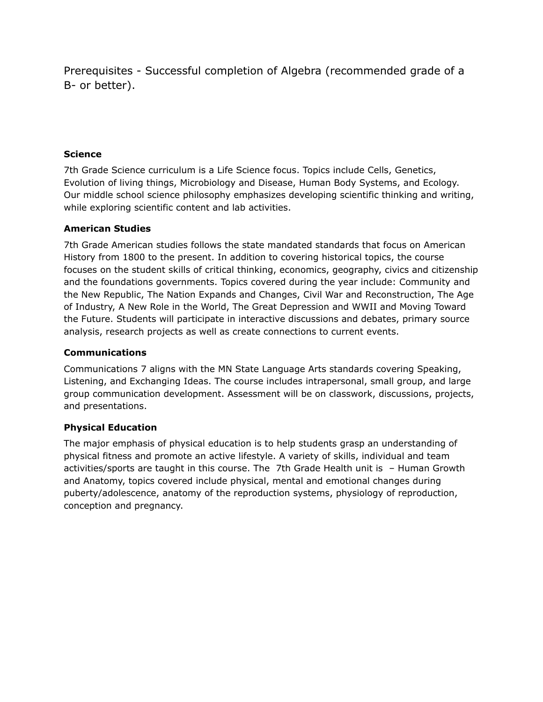Prerequisites - Successful completion of Algebra (recommended grade of a B- or better).

## **Science**

7th Grade Science curriculum is a Life Science focus. Topics include Cells, Genetics, Evolution of living things, Microbiology and Disease, Human Body Systems, and Ecology. Our middle school science philosophy emphasizes developing scientific thinking and writing, while exploring scientific content and lab activities.

## **American Studies**

7th Grade American studies follows the state mandated standards that focus on American History from 1800 to the present. In addition to covering historical topics, the course focuses on the student skills of critical thinking, economics, geography, civics and citizenship and the foundations governments. Topics covered during the year include: Community and the New Republic, The Nation Expands and Changes, Civil War and Reconstruction, The Age of Industry, A New Role in the World, The Great Depression and WWII and Moving Toward the Future. Students will participate in interactive discussions and debates, primary source analysis, research projects as well as create connections to current events.

#### **Communications**

Communications 7 aligns with the MN State Language Arts standards covering Speaking, Listening, and Exchanging Ideas. The course includes intrapersonal, small group, and large group communication development. Assessment will be on classwork, discussions, projects, and presentations.

## **Physical Education**

The major emphasis of physical education is to help students grasp an understanding of physical fitness and promote an active lifestyle. A variety of skills, individual and team activities/sports are taught in this course. The 7th Grade Health unit is – Human Growth and Anatomy, topics covered include physical, mental and emotional changes during puberty/adolescence, anatomy of the reproduction systems, physiology of reproduction, conception and pregnancy.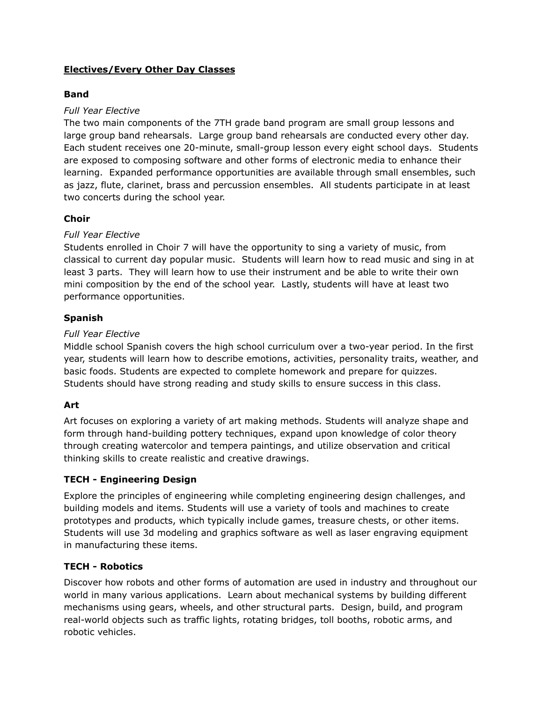## **Electives/Every Other Day Classes**

## **Band**

## *Full Year Elective*

The two main components of the 7TH grade band program are small group lessons and large group band rehearsals. Large group band rehearsals are conducted every other day. Each student receives one 20-minute, small-group lesson every eight school days. Students are exposed to composing software and other forms of electronic media to enhance their learning. Expanded performance opportunities are available through small ensembles, such as jazz, flute, clarinet, brass and percussion ensembles. All students participate in at least two concerts during the school year.

## **Choir**

## *Full Year Elective*

Students enrolled in Choir 7 will have the opportunity to sing a variety of music, from classical to current day popular music. Students will learn how to read music and sing in at least 3 parts. They will learn how to use their instrument and be able to write their own mini composition by the end of the school year. Lastly, students will have at least two performance opportunities.

#### **Spanish**

#### *Full Year Elective*

Middle school Spanish covers the high school curriculum over a two-year period. In the first year, students will learn how to describe emotions, activities, personality traits, weather, and basic foods. Students are expected to complete homework and prepare for quizzes. Students should have strong reading and study skills to ensure success in this class.

## **Art**

Art focuses on exploring a variety of art making methods. Students will analyze shape and form through hand-building pottery techniques, expand upon knowledge of color theory through creating watercolor and tempera paintings, and utilize observation and critical thinking skills to create realistic and creative drawings.

## **TECH - Engineering Design**

Explore the principles of engineering while completing engineering design challenges, and building models and items. Students will use a variety of tools and machines to create prototypes and products, which typically include games, treasure chests, or other items. Students will use 3d modeling and graphics software as well as laser engraving equipment in manufacturing these items.

#### **TECH - Robotics**

Discover how robots and other forms of automation are used in industry and throughout our world in many various applications. Learn about mechanical systems by building different mechanisms using gears, wheels, and other structural parts. Design, build, and program real-world objects such as traffic lights, rotating bridges, toll booths, robotic arms, and robotic vehicles.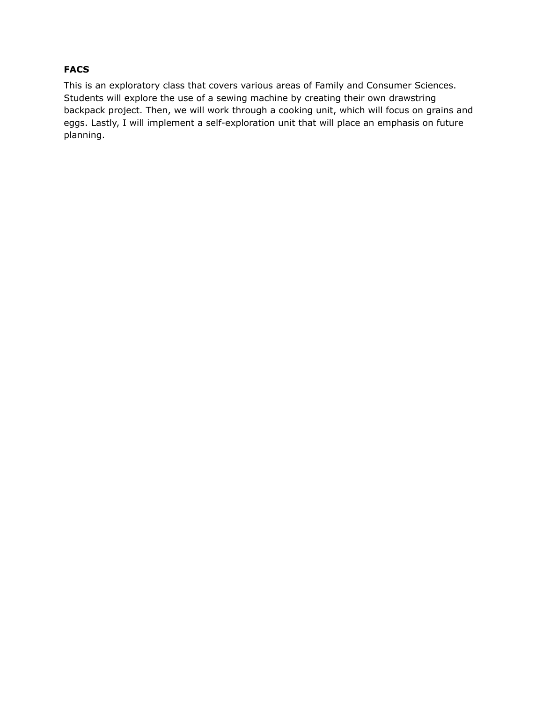## **FACS**

This is an exploratory class that covers various areas of Family and Consumer Sciences. Students will explore the use of a sewing machine by creating their own drawstring backpack project. Then, we will work through a cooking unit, which will focus on grains and eggs. Lastly, I will implement a self-exploration unit that will place an emphasis on future planning.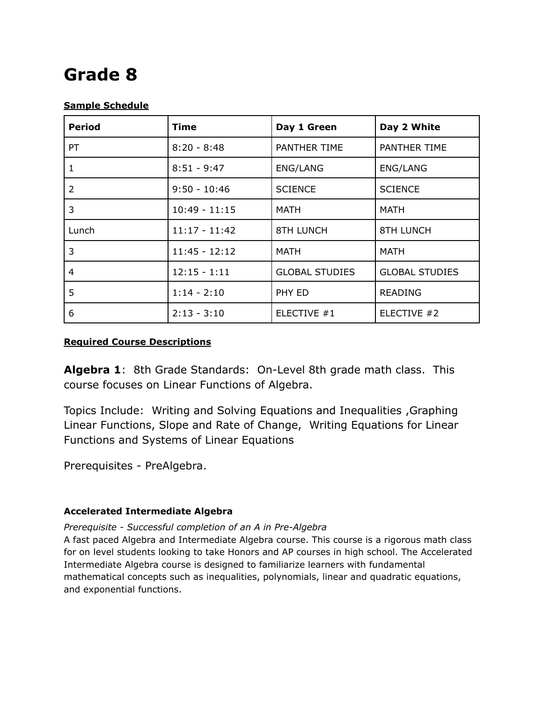## **Grade 8**

## **Sample Schedule**

| <b>Period</b> | Time            | Day 1 Green           | Day 2 White           |
|---------------|-----------------|-----------------------|-----------------------|
| PT            | $8:20 - 8:48$   | PANTHER TIME          | PANTHER TIME          |
| 1             | $8:51 - 9:47$   | ENG/LANG              | <b>ENG/LANG</b>       |
| 2             | $9:50 - 10:46$  | <b>SCIENCE</b>        | <b>SCIENCE</b>        |
| 3             | $10:49 - 11:15$ | <b>MATH</b>           | MATH                  |
| Lunch         | $11:17 - 11:42$ | <b>8TH LUNCH</b>      | <b>8TH LUNCH</b>      |
| 3             | $11:45 - 12:12$ | <b>MATH</b>           | <b>MATH</b>           |
| 4             | $12:15 - 1:11$  | <b>GLOBAL STUDIES</b> | <b>GLOBAL STUDIES</b> |
| 5             | $1:14 - 2:10$   | PHY ED                | <b>READING</b>        |
| 6             | $2:13 - 3:10$   | ELECTIVE #1           | ELECTIVE #2           |

## **Required Course Descriptions**

**Algebra 1**: 8th Grade Standards: On-Level 8th grade math class. This course focuses on Linear Functions of Algebra.

Topics Include: Writing and Solving Equations and Inequalities ,Graphing Linear Functions, Slope and Rate of Change, Writing Equations for Linear Functions and Systems of Linear Equations

Prerequisites - PreAlgebra.

## **Accelerated Intermediate Algebra**

## *Prerequisite - Successful completion of an A in Pre-Algebra*

A fast paced Algebra and Intermediate Algebra course. This course is a rigorous math class for on level students looking to take Honors and AP courses in high school. The Accelerated Intermediate Algebra course is designed to familiarize learners with fundamental mathematical concepts such as inequalities, polynomials, linear and quadratic equations, and exponential functions.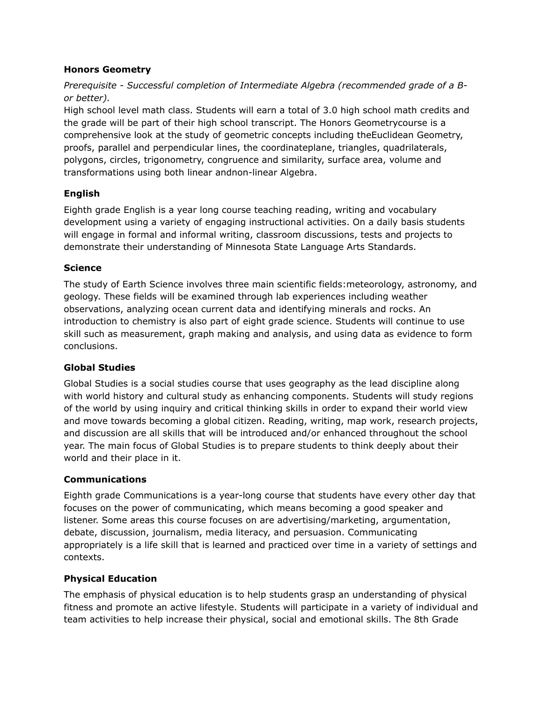## **Honors Geometry**

*Prerequisite - Successful completion of Intermediate Algebra (recommended grade of a Bor better).*

High school level math class. Students will earn a total of 3.0 high school math credits and the grade will be part of their high school transcript. The Honors Geometrycourse is a comprehensive look at the study of geometric concepts including theEuclidean Geometry, proofs, parallel and perpendicular lines, the coordinateplane, triangles, quadrilaterals, polygons, circles, trigonometry, congruence and similarity, surface area, volume and transformations using both linear andnon-linear Algebra.

## **English**

Eighth grade English is a year long course teaching reading, writing and vocabulary development using a variety of engaging instructional activities. On a daily basis students will engage in formal and informal writing, classroom discussions, tests and projects to demonstrate their understanding of Minnesota State Language Arts Standards.

## **Science**

The study of Earth Science involves three main scientific fields:meteorology, astronomy, and geology. These fields will be examined through lab experiences including weather observations, analyzing ocean current data and identifying minerals and rocks. An introduction to chemistry is also part of eight grade science. Students will continue to use skill such as measurement, graph making and analysis, and using data as evidence to form conclusions.

## **Global Studies**

Global Studies is a social studies course that uses geography as the lead discipline along with world history and cultural study as enhancing components. Students will study regions of the world by using inquiry and critical thinking skills in order to expand their world view and move towards becoming a global citizen. Reading, writing, map work, research projects, and discussion are all skills that will be introduced and/or enhanced throughout the school year. The main focus of Global Studies is to prepare students to think deeply about their world and their place in it.

## **Communications**

Eighth grade Communications is a year-long course that students have every other day that focuses on the power of communicating, which means becoming a good speaker and listener. Some areas this course focuses on are advertising/marketing, argumentation, debate, discussion, journalism, media literacy, and persuasion. Communicating appropriately is a life skill that is learned and practiced over time in a variety of settings and contexts.

## **Physical Education**

The emphasis of physical education is to help students grasp an understanding of physical fitness and promote an active lifestyle. Students will participate in a variety of individual and team activities to help increase their physical, social and emotional skills. The 8th Grade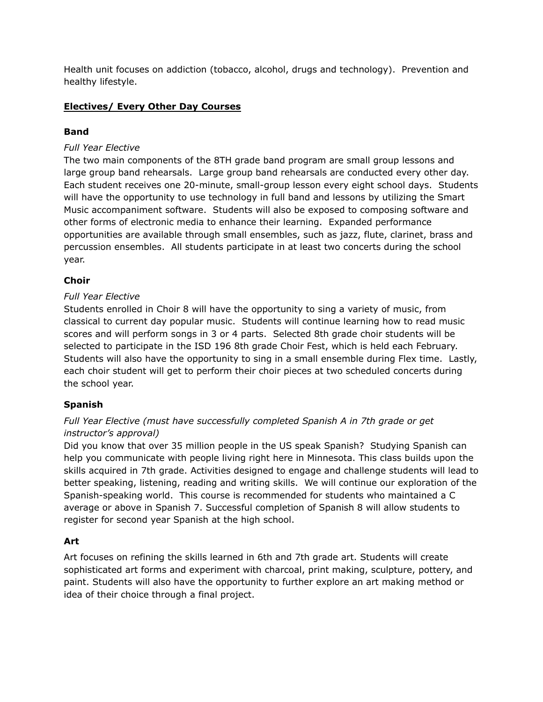Health unit focuses on addiction (tobacco, alcohol, drugs and technology). Prevention and healthy lifestyle.

## **Electives/ Every Other Day Courses**

## **Band**

## *Full Year Elective*

The two main components of the 8TH grade band program are small group lessons and large group band rehearsals. Large group band rehearsals are conducted every other day. Each student receives one 20-minute, small-group lesson every eight school days. Students will have the opportunity to use technology in full band and lessons by utilizing the Smart Music accompaniment software. Students will also be exposed to composing software and other forms of electronic media to enhance their learning. Expanded performance opportunities are available through small ensembles, such as jazz, flute, clarinet, brass and percussion ensembles. All students participate in at least two concerts during the school year.

## **Choir**

## *Full Year Elective*

Students enrolled in Choir 8 will have the opportunity to sing a variety of music, from classical to current day popular music. Students will continue learning how to read music scores and will perform songs in 3 or 4 parts. Selected 8th grade choir students will be selected to participate in the ISD 196 8th grade Choir Fest, which is held each February. Students will also have the opportunity to sing in a small ensemble during Flex time. Lastly, each choir student will get to perform their choir pieces at two scheduled concerts during the school year.

## **Spanish**

## *Full Year Elective (must have successfully completed Spanish A in 7th grade or get instructor's approval)*

Did you know that over 35 million people in the US speak Spanish? Studying Spanish can help you communicate with people living right here in Minnesota. This class builds upon the skills acquired in 7th grade. Activities designed to engage and challenge students will lead to better speaking, listening, reading and writing skills. We will continue our exploration of the Spanish-speaking world. This course is recommended for students who maintained a C average or above in Spanish 7. Successful completion of Spanish 8 will allow students to register for second year Spanish at the high school.

## **Art**

Art focuses on refining the skills learned in 6th and 7th grade art. Students will create sophisticated art forms and experiment with charcoal, print making, sculpture, pottery, and paint. Students will also have the opportunity to further explore an art making method or idea of their choice through a final project.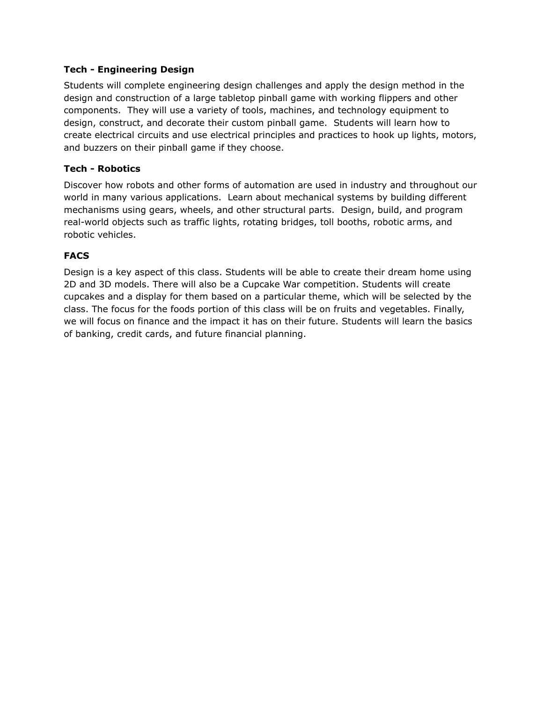## **Tech - Engineering Design**

Students will complete engineering design challenges and apply the design method in the design and construction of a large tabletop pinball game with working flippers and other components. They will use a variety of tools, machines, and technology equipment to design, construct, and decorate their custom pinball game. Students will learn how to create electrical circuits and use electrical principles and practices to hook up lights, motors, and buzzers on their pinball game if they choose.

#### **Tech - Robotics**

Discover how robots and other forms of automation are used in industry and throughout our world in many various applications. Learn about mechanical systems by building different mechanisms using gears, wheels, and other structural parts. Design, build, and program real-world objects such as traffic lights, rotating bridges, toll booths, robotic arms, and robotic vehicles.

#### **FACS**

Design is a key aspect of this class. Students will be able to create their dream home using 2D and 3D models. There will also be a Cupcake War competition. Students will create cupcakes and a display for them based on a particular theme, which will be selected by the class. The focus for the foods portion of this class will be on fruits and vegetables. Finally, we will focus on finance and the impact it has on their future. Students will learn the basics of banking, credit cards, and future financial planning.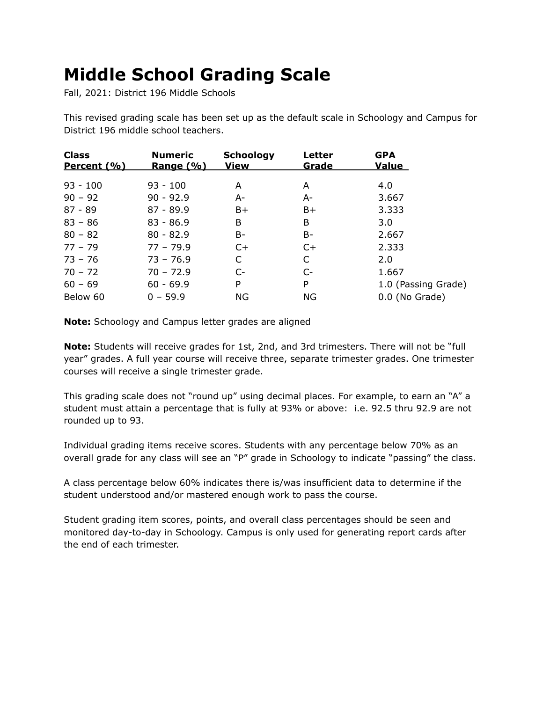## **Middle School Grading Scale**

Fall, 2021: District 196 Middle Schools

This revised grading scale has been set up as the default scale in Schoology and Campus for District 196 middle school teachers.

| <b>Class</b><br>Percent (%) | <b>Numeric</b><br><u>Range (%)</u> | <b>Schoology</b><br>View | Letter<br>Grade | <b>GPA</b><br><u>Value</u> |
|-----------------------------|------------------------------------|--------------------------|-----------------|----------------------------|
| $93 - 100$                  | $93 - 100$                         | A                        | A               | 4.0                        |
| $90 - 92$                   | $90 - 92.9$                        | A-                       | A-              | 3.667                      |
| $87 - 89$                   | $87 - 89.9$                        | B+                       | B+              | 3.333                      |
| $83 - 86$                   | $83 - 86.9$                        | B                        | B               | 3.0                        |
| $80 - 82$                   | $80 - 82.9$                        | B-                       | B-              | 2.667                      |
| $77 - 79$                   | $77 - 79.9$                        | $C+$                     | $C+$            | 2.333                      |
| $73 - 76$                   | $73 - 76.9$                        | C                        | C               | 2.0                        |
| $70 - 72$                   | $70 - 72.9$                        | $C-$                     | $C-$            | 1.667                      |
| $60 - 69$                   | $60 - 69.9$                        | P                        | P               | 1.0 (Passing Grade)        |
| Below 60                    | $0 - 59.9$                         | ΝG                       | ΝG              | 0.0 (No Grade)             |

**Note:** Schoology and Campus letter grades are aligned

**Note:** Students will receive grades for 1st, 2nd, and 3rd trimesters. There will not be "full year" grades. A full year course will receive three, separate trimester grades. One trimester courses will receive a single trimester grade.

This grading scale does not "round up" using decimal places. For example, to earn an "A" a student must attain a percentage that is fully at 93% or above: i.e. 92.5 thru 92.9 are not rounded up to 93.

Individual grading items receive scores. Students with any percentage below 70% as an overall grade for any class will see an "P" grade in Schoology to indicate "passing" the class.

A class percentage below 60% indicates there is/was insufficient data to determine if the student understood and/or mastered enough work to pass the course.

Student grading item scores, points, and overall class percentages should be seen and monitored day-to-day in Schoology. Campus is only used for generating report cards after the end of each trimester.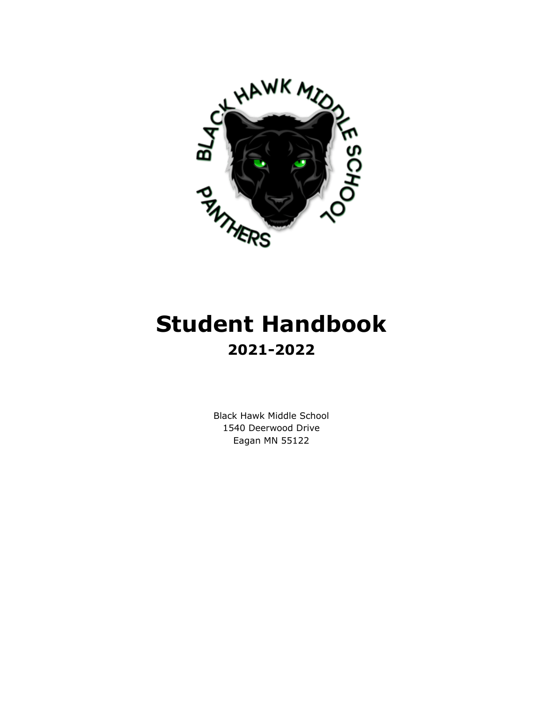

# **Student Handbook 2021-2022**

Black Hawk Middle School 1540 Deerwood Drive Eagan MN 55122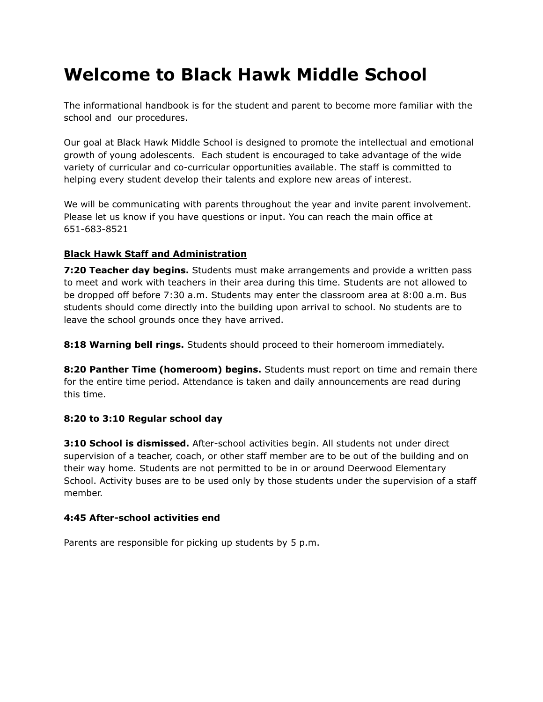## **Welcome to Black Hawk Middle School**

The informational handbook is for the student and parent to become more familiar with the school and our procedures.

Our goal at Black Hawk Middle School is designed to promote the intellectual and emotional growth of young adolescents. Each student is encouraged to take advantage of the wide variety of curricular and co-curricular opportunities available. The staff is committed to helping every student develop their talents and explore new areas of interest.

We will be communicating with parents throughout the year and invite parent involvement. Please let us know if you have questions or input. You can reach the main office at 651-683-8521

## **Black Hawk Staff and Administration**

**7:20 Teacher day begins.** Students must make arrangements and provide a written pass to meet and work with teachers in their area during this time. Students are not allowed to be dropped off before 7:30 a.m. Students may enter the classroom area at 8:00 a.m. Bus students should come directly into the building upon arrival to school. No students are to leave the school grounds once they have arrived.

**8:18 Warning bell rings.** Students should proceed to their homeroom immediately.

**8:20 Panther Time (homeroom) begins.** Students must report on time and remain there for the entire time period. Attendance is taken and daily announcements are read during this time.

## **8:20 to 3:10 Regular school day**

**3:10 School is dismissed.** After-school activities begin. All students not under direct supervision of a teacher, coach, or other staff member are to be out of the building and on their way home. Students are not permitted to be in or around Deerwood Elementary School. Activity buses are to be used only by those students under the supervision of a staff member.

## **4:45 After-school activities end**

Parents are responsible for picking up students by 5 p.m.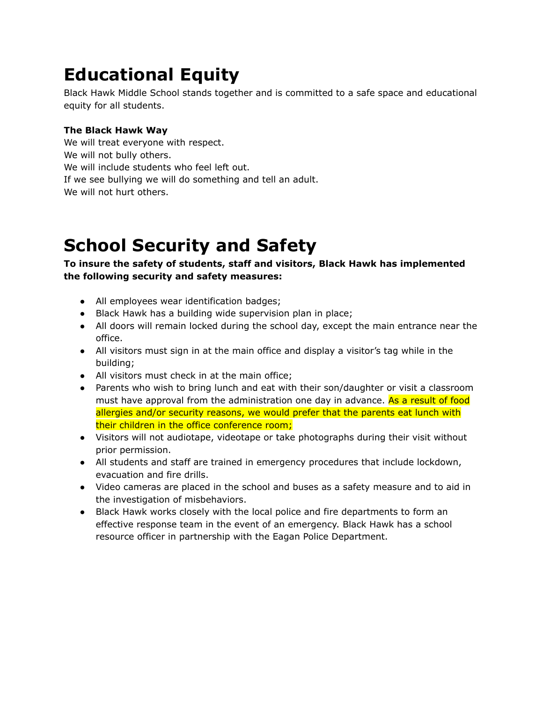## **Educational Equity**

Black Hawk Middle School stands together and is committed to a safe space and educational equity for all students.

## **The Black Hawk Way**

We will treat everyone with respect. We will not bully others. We will include students who feel left out. If we see bullying we will do something and tell an adult. We will not hurt others.

## **School Security and Safety**

## **To insure the safety of students, staff and visitors, Black Hawk has implemented the following security and safety measures:**

- All employees wear identification badges;
- Black Hawk has a building wide supervision plan in place;
- All doors will remain locked during the school day, except the main entrance near the office.
- All visitors must sign in at the main office and display a visitor's tag while in the building;
- All visitors must check in at the main office;
- Parents who wish to bring lunch and eat with their son/daughter or visit a classroom must have approval from the administration one day in advance. As a result of food allergies and/or security reasons, we would prefer that the parents eat lunch with their children in the office conference room;
- Visitors will not audiotape, videotape or take photographs during their visit without prior permission.
- All students and staff are trained in emergency procedures that include lockdown, evacuation and fire drills.
- Video cameras are placed in the school and buses as a safety measure and to aid in the investigation of misbehaviors.
- Black Hawk works closely with the local police and fire departments to form an effective response team in the event of an emergency. Black Hawk has a school resource officer in partnership with the Eagan Police Department.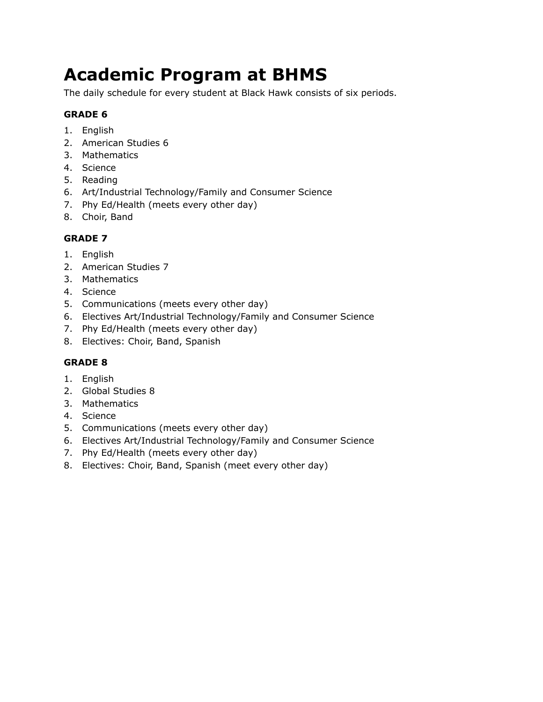## **Academic Program at BHMS**

The daily schedule for every student at Black Hawk consists of six periods.

## **GRADE 6**

- 1. English
- 2. American Studies 6
- 3. Mathematics
- 4. Science
- 5. Reading
- 6. Art/Industrial Technology/Family and Consumer Science
- 7. Phy Ed/Health (meets every other day)
- 8. Choir, Band

## **GRADE 7**

- 1. English
- 2. American Studies 7
- 3. Mathematics
- 4. Science
- 5. Communications (meets every other day)
- 6. Electives Art/Industrial Technology/Family and Consumer Science
- 7. Phy Ed/Health (meets every other day)
- 8. Electives: Choir, Band, Spanish

## **GRADE 8**

- 1. English
- 2. Global Studies 8
- 3. Mathematics
- 4. Science
- 5. Communications (meets every other day)
- 6. Electives Art/Industrial Technology/Family and Consumer Science
- 7. Phy Ed/Health (meets every other day)
- 8. Electives: Choir, Band, Spanish (meet every other day)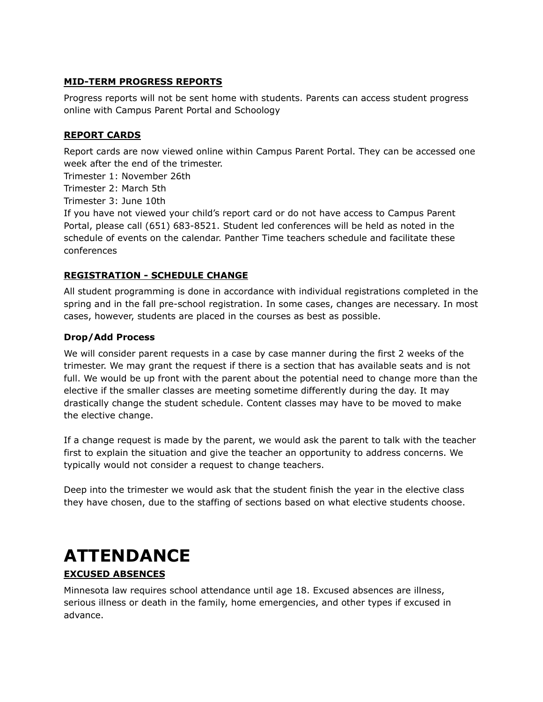#### **MID-TERM PROGRESS REPORTS**

Progress reports will not be sent home with students. Parents can access student progress online with Campus Parent Portal and Schoology

#### **REPORT CARDS**

Report cards are now viewed online within Campus Parent Portal. They can be accessed one week after the end of the trimester.

Trimester 1: November 26th

Trimester 2: March 5th

Trimester 3: June 10th

If you have not viewed your child's report card or do not have access to Campus Parent Portal, please call (651) 683-8521. Student led conferences will be held as noted in the schedule of events on the calendar. Panther Time teachers schedule and facilitate these conferences

## **REGISTRATION - SCHEDULE CHANGE**

All student programming is done in accordance with individual registrations completed in the spring and in the fall pre-school registration. In some cases, changes are necessary. In most cases, however, students are placed in the courses as best as possible.

#### **Drop/Add Process**

We will consider parent requests in a case by case manner during the first 2 weeks of the trimester. We may grant the request if there is a section that has available seats and is not full. We would be up front with the parent about the potential need to change more than the elective if the smaller classes are meeting sometime differently during the day. It may drastically change the student schedule. Content classes may have to be moved to make the elective change.

If a change request is made by the parent, we would ask the parent to talk with the teacher first to explain the situation and give the teacher an opportunity to address concerns. We typically would not consider a request to change teachers.

Deep into the trimester we would ask that the student finish the year in the elective class they have chosen, due to the staffing of sections based on what elective students choose.

## **ATTENDANCE**

## **EXCUSED ABSENCES**

Minnesota law requires school attendance until age 18. Excused absences are illness, serious illness or death in the family, home emergencies, and other types if excused in advance.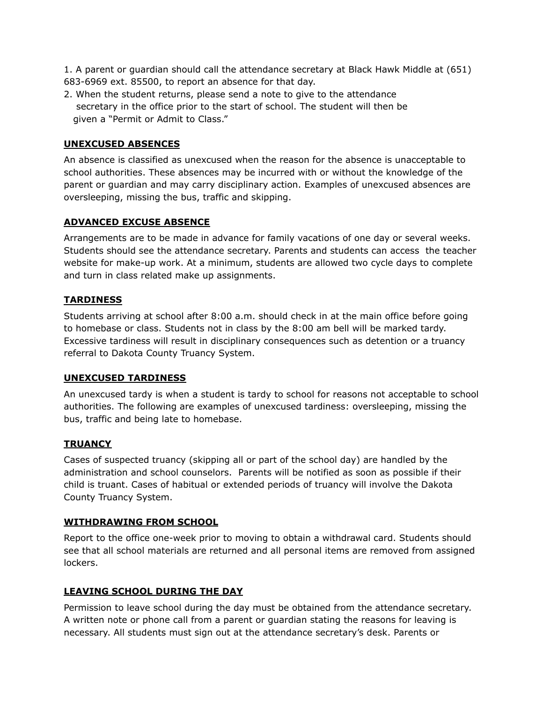1. A parent or guardian should call the attendance secretary at Black Hawk Middle at (651) 683-6969 ext. 85500, to report an absence for that day.

2. When the student returns, please send a note to give to the attendance secretary in the office prior to the start of school. The student will then be given a "Permit or Admit to Class."

## **UNEXCUSED ABSENCES**

An absence is classified as unexcused when the reason for the absence is unacceptable to school authorities. These absences may be incurred with or without the knowledge of the parent or guardian and may carry disciplinary action. Examples of unexcused absences are oversleeping, missing the bus, traffic and skipping.

## **ADVANCED EXCUSE ABSENCE**

Arrangements are to be made in advance for family vacations of one day or several weeks. Students should see the attendance secretary. Parents and students can access the teacher website for make-up work. At a minimum, students are allowed two cycle days to complete and turn in class related make up assignments.

## **TARDINESS**

Students arriving at school after 8:00 a.m. should check in at the main office before going to homebase or class. Students not in class by the 8:00 am bell will be marked tardy. Excessive tardiness will result in disciplinary consequences such as detention or a truancy referral to Dakota County Truancy System.

## **UNEXCUSED TARDINESS**

An unexcused tardy is when a student is tardy to school for reasons not acceptable to school authorities. The following are examples of unexcused tardiness: oversleeping, missing the bus, traffic and being late to homebase.

## **TRUANCY**

Cases of suspected truancy (skipping all or part of the school day) are handled by the administration and school counselors. Parents will be notified as soon as possible if their child is truant. Cases of habitual or extended periods of truancy will involve the Dakota County Truancy System.

#### **WITHDRAWING FROM SCHOOL**

Report to the office one-week prior to moving to obtain a withdrawal card. Students should see that all school materials are returned and all personal items are removed from assigned lockers.

#### **LEAVING SCHOOL DURING THE DAY**

Permission to leave school during the day must be obtained from the attendance secretary. A written note or phone call from a parent or guardian stating the reasons for leaving is necessary. All students must sign out at the attendance secretary's desk. Parents or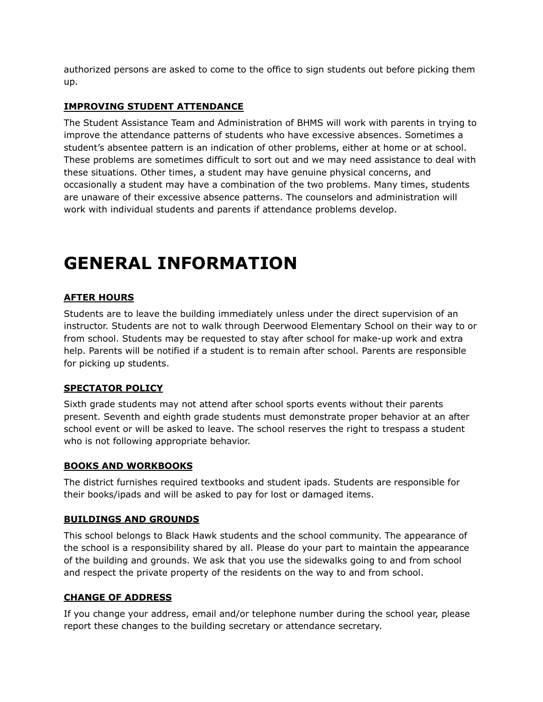authorized persons are asked to come to the office to sign students out before picking them up.

## **IMPROVING STUDENT ATTENDANCE**

The Student Assistance Team and Administration of BHMS will work with parents in trying to improve the attendance patterns of students who have excessive absences. Sometimes a student's absentee pattern is an indication of other problems, either at home or at school. These problems are sometimes difficult to sort out and we may need assistance to deal with these situations. Other times, a student may have genuine physical concerns, and occasionally a student may have a combination of the two problems. Many times, students are unaware of their excessive absence patterns. The counselors and administration will work with individual students and parents if attendance problems develop.

## **GENERAL INFORMATION**

## **AFTER HOURS**

Students are to leave the building immediately unless under the direct supervision of an instructor. Students are not to walk through Deerwood Elementary School on their way to or from school. Students may be requested to stay after school for make-up work and extra help. Parents will be notified if a student is to remain after school. Parents are responsible for picking up students.

#### **SPECTATOR POLICY**

Sixth grade students may not attend after school sports events without their parents present. Seventh and eighth grade students must demonstrate proper behavior at an after school event or will be asked to leave. The school reserves the right to trespass a student who is not following appropriate behavior.

## **BOOKS AND WORKBOOKS**

The district furnishes required textbooks and student ipads. Students are responsible for their books/ipads and will be asked to pay for lost or damaged items.

#### **BUILDINGS AND GROUNDS**

This school belongs to Black Hawk students and the school community. The appearance of the school is a responsibility shared by all. Please do your part to maintain the appearance of the building and grounds. We ask that you use the sidewalks going to and from school and respect the private property of the residents on the way to and from school.

#### **CHANGE OF ADDRESS**

If you change your address, email and/or telephone number during the school year, please report these changes to the building secretary or attendance secretary.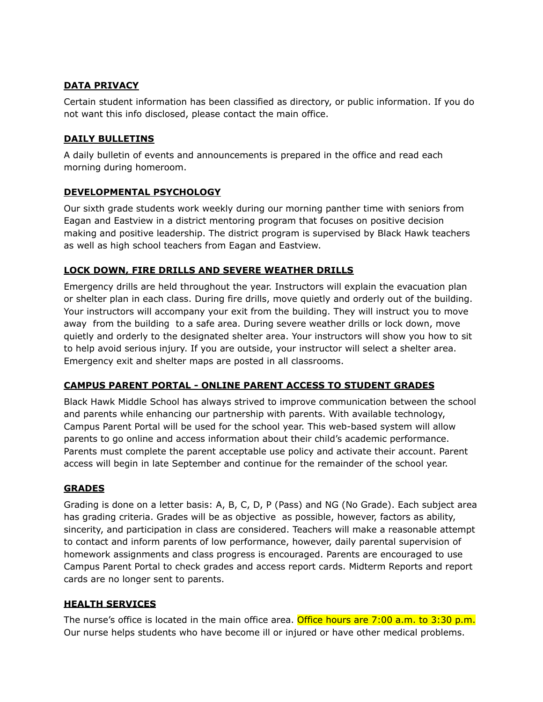## **DATA PRIVACY**

Certain student information has been classified as directory, or public information. If you do not want this info disclosed, please contact the main office.

## **DAILY BULLETINS**

A daily bulletin of events and announcements is prepared in the office and read each morning during homeroom.

## **DEVELOPMENTAL PSYCHOLOGY**

Our sixth grade students work weekly during our morning panther time with seniors from Eagan and Eastview in a district mentoring program that focuses on positive decision making and positive leadership. The district program is supervised by Black Hawk teachers as well as high school teachers from Eagan and Eastview.

## **LOCK DOWN, FIRE DRILLS AND SEVERE WEATHER DRILLS**

Emergency drills are held throughout the year. Instructors will explain the evacuation plan or shelter plan in each class. During fire drills, move quietly and orderly out of the building. Your instructors will accompany your exit from the building. They will instruct you to move away from the building to a safe area. During severe weather drills or lock down, move quietly and orderly to the designated shelter area. Your instructors will show you how to sit to help avoid serious injury. If you are outside, your instructor will select a shelter area. Emergency exit and shelter maps are posted in all classrooms.

## **CAMPUS PARENT PORTAL - ONLINE PARENT ACCESS TO STUDENT GRADES**

Black Hawk Middle School has always strived to improve communication between the school and parents while enhancing our partnership with parents. With available technology, Campus Parent Portal will be used for the school year. This web-based system will allow parents to go online and access information about their child's academic performance. Parents must complete the parent acceptable use policy and activate their account. Parent access will begin in late September and continue for the remainder of the school year.

## **GRADES**

Grading is done on a letter basis: A, B, C, D, P (Pass) and NG (No Grade). Each subject area has grading criteria. Grades will be as objective as possible, however, factors as ability, sincerity, and participation in class are considered. Teachers will make a reasonable attempt to contact and inform parents of low performance, however, daily parental supervision of homework assignments and class progress is encouraged. Parents are encouraged to use Campus Parent Portal to check grades and access report cards. Midterm Reports and report cards are no longer sent to parents.

## **HEALTH SERVICES**

The nurse's office is located in the main office area. Office hours are 7:00 a.m. to 3:30 p.m. Our nurse helps students who have become ill or injured or have other medical problems.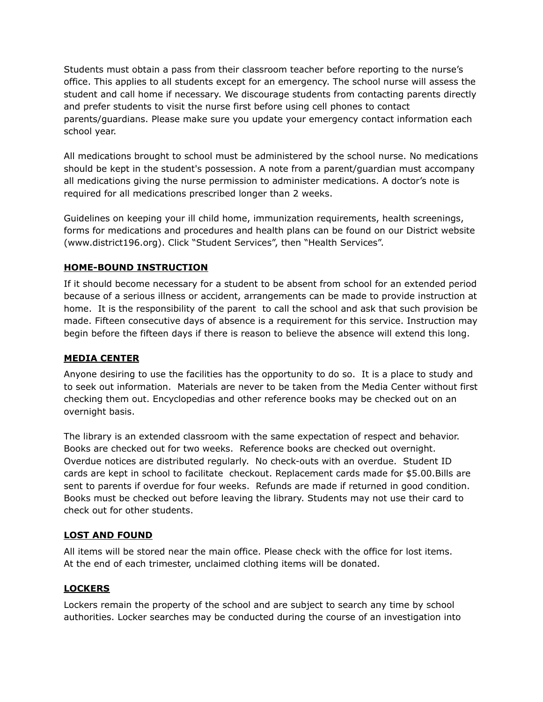Students must obtain a pass from their classroom teacher before reporting to the nurse's office. This applies to all students except for an emergency. The school nurse will assess the student and call home if necessary. We discourage students from contacting parents directly and prefer students to visit the nurse first before using cell phones to contact parents/guardians. Please make sure you update your emergency contact information each school year.

All medications brought to school must be administered by the school nurse. No medications should be kept in the student's possession. A note from a parent/guardian must accompany all medications giving the nurse permission to administer medications. A doctor's note is required for all medications prescribed longer than 2 weeks.

Guidelines on keeping your ill child home, immunization requirements, health screenings, forms for medications and procedures and health plans can be found on our District website (www.district196.org). Click "Student Services", then "Health Services".

## **HOME-BOUND INSTRUCTION**

If it should become necessary for a student to be absent from school for an extended period because of a serious illness or accident, arrangements can be made to provide instruction at home. It is the responsibility of the parent to call the school and ask that such provision be made. Fifteen consecutive days of absence is a requirement for this service. Instruction may begin before the fifteen days if there is reason to believe the absence will extend this long.

## **MEDIA CENTER**

Anyone desiring to use the facilities has the opportunity to do so. It is a place to study and to seek out information. Materials are never to be taken from the Media Center without first checking them out. Encyclopedias and other reference books may be checked out on an overnight basis.

The library is an extended classroom with the same expectation of respect and behavior. Books are checked out for two weeks. Reference books are checked out overnight. Overdue notices are distributed regularly. No check-outs with an overdue. Student ID cards are kept in school to facilitate checkout. Replacement cards made for \$5.00.Bills are sent to parents if overdue for four weeks. Refunds are made if returned in good condition. Books must be checked out before leaving the library. Students may not use their card to check out for other students.

## **LOST AND FOUND**

All items will be stored near the main office. Please check with the office for lost items. At the end of each trimester, unclaimed clothing items will be donated.

## **LOCKERS**

Lockers remain the property of the school and are subject to search any time by school authorities. Locker searches may be conducted during the course of an investigation into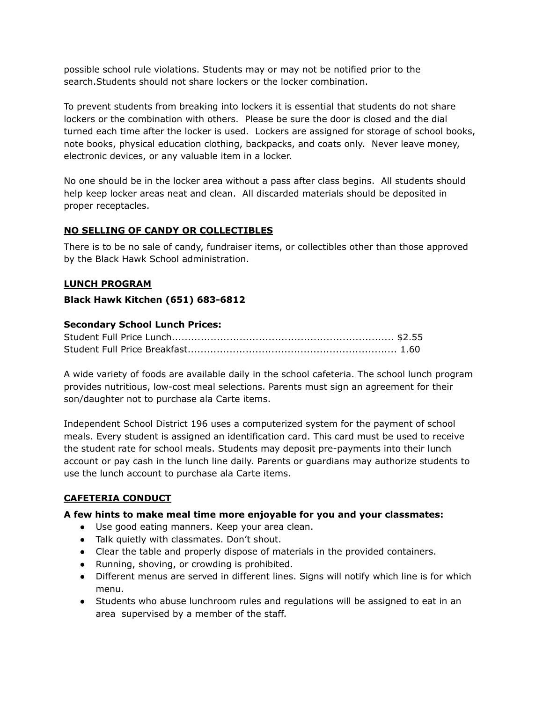possible school rule violations. Students may or may not be notified prior to the search.Students should not share lockers or the locker combination.

To prevent students from breaking into lockers it is essential that students do not share lockers or the combination with others. Please be sure the door is closed and the dial turned each time after the locker is used. Lockers are assigned for storage of school books, note books, physical education clothing, backpacks, and coats only. Never leave money, electronic devices, or any valuable item in a locker.

No one should be in the locker area without a pass after class begins. All students should help keep locker areas neat and clean. All discarded materials should be deposited in proper receptacles.

## **NO SELLING OF CANDY OR COLLECTIBLES**

There is to be no sale of candy, fundraiser items, or collectibles other than those approved by the Black Hawk School administration.

## **LUNCH PROGRAM**

## **Black Hawk Kitchen (651) 683-6812**

## **Secondary School Lunch Prices:**

A wide variety of foods are available daily in the school cafeteria. The school lunch program provides nutritious, low-cost meal selections. Parents must sign an agreement for their son/daughter not to purchase ala Carte items.

Independent School District 196 uses a computerized system for the payment of school meals. Every student is assigned an identification card. This card must be used to receive the student rate for school meals. Students may deposit pre-payments into their lunch account or pay cash in the lunch line daily. Parents or guardians may authorize students to use the lunch account to purchase ala Carte items.

## **CAFETERIA CONDUCT**

## **A few hints to make meal time more enjoyable for you and your classmates:**

- Use good eating manners. Keep your area clean.
- Talk quietly with classmates. Don't shout.
- Clear the table and properly dispose of materials in the provided containers.
- Running, shoving, or crowding is prohibited.
- Different menus are served in different lines. Signs will notify which line is for which menu.
- Students who abuse lunchroom rules and regulations will be assigned to eat in an area supervised by a member of the staff.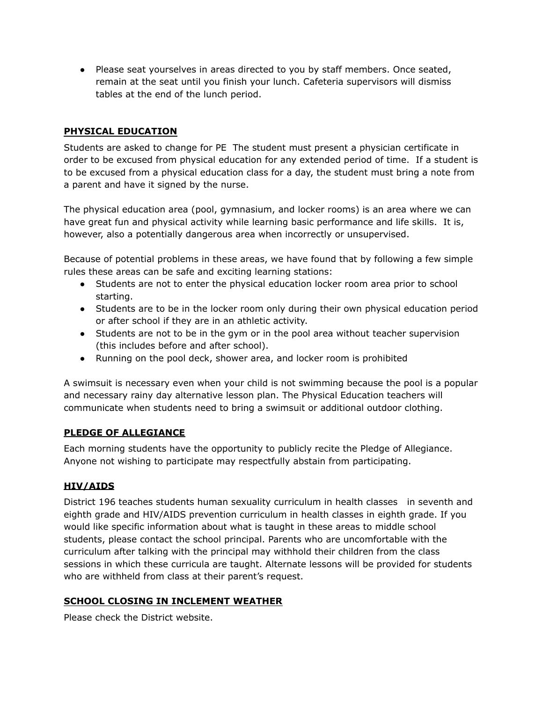● Please seat yourselves in areas directed to you by staff members. Once seated, remain at the seat until you finish your lunch. Cafeteria supervisors will dismiss tables at the end of the lunch period.

## **PHYSICAL EDUCATION**

Students are asked to change for PE The student must present a physician certificate in order to be excused from physical education for any extended period of time. If a student is to be excused from a physical education class for a day, the student must bring a note from a parent and have it signed by the nurse.

The physical education area (pool, gymnasium, and locker rooms) is an area where we can have great fun and physical activity while learning basic performance and life skills. It is, however, also a potentially dangerous area when incorrectly or unsupervised.

Because of potential problems in these areas, we have found that by following a few simple rules these areas can be safe and exciting learning stations:

- Students are not to enter the physical education locker room area prior to school starting.
- Students are to be in the locker room only during their own physical education period or after school if they are in an athletic activity.
- Students are not to be in the gym or in the pool area without teacher supervision (this includes before and after school).
- Running on the pool deck, shower area, and locker room is prohibited

A swimsuit is necessary even when your child is not swimming because the pool is a popular and necessary rainy day alternative lesson plan. The Physical Education teachers will communicate when students need to bring a swimsuit or additional outdoor clothing.

## **PLEDGE OF ALLEGIANCE**

Each morning students have the opportunity to publicly recite the Pledge of Allegiance. Anyone not wishing to participate may respectfully abstain from participating.

## **HIV/AIDS**

District 196 teaches students human sexuality curriculum in health classes in seventh and eighth grade and HIV/AIDS prevention curriculum in health classes in eighth grade. If you would like specific information about what is taught in these areas to middle school students, please contact the school principal. Parents who are uncomfortable with the curriculum after talking with the principal may withhold their children from the class sessions in which these curricula are taught. Alternate lessons will be provided for students who are withheld from class at their parent's request.

## **SCHOOL CLOSING IN INCLEMENT WEATHER**

Please check the District website.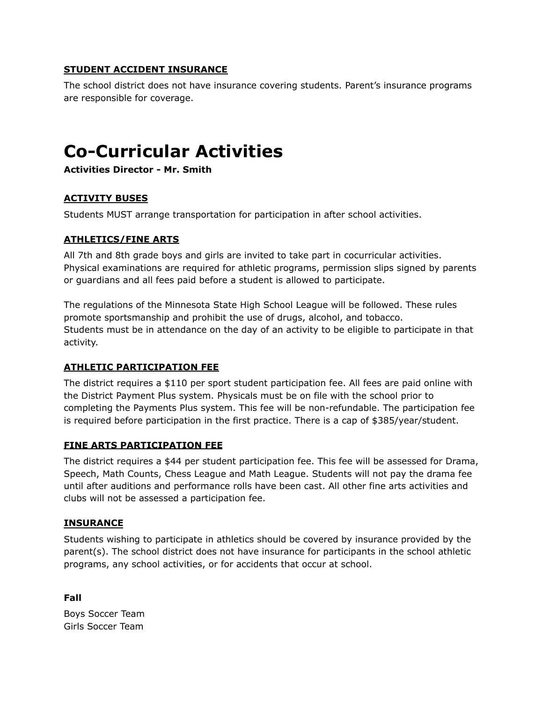## **STUDENT ACCIDENT INSURANCE**

The school district does not have insurance covering students. Parent's insurance programs are responsible for coverage.

## **Co-Curricular Activities**

**Activities Director - Mr. Smith**

## **ACTIVITY BUSES**

Students MUST arrange transportation for participation in after school activities.

## **ATHLETICS/FINE ARTS**

All 7th and 8th grade boys and girls are invited to take part in cocurricular activities. Physical examinations are required for athletic programs, permission slips signed by parents or guardians and all fees paid before a student is allowed to participate.

The regulations of the Minnesota State High School League will be followed. These rules promote sportsmanship and prohibit the use of drugs, alcohol, and tobacco. Students must be in attendance on the day of an activity to be eligible to participate in that activity.

## **ATHLETIC PARTICIPATION FEE**

The district requires a \$110 per sport student participation fee. All fees are paid online with the District Payment Plus system. Physicals must be on file with the school prior to completing the Payments Plus system. This fee will be non-refundable. The participation fee is required before participation in the first practice. There is a cap of \$385/year/student.

## **FINE ARTS PARTICIPATION FEE**

The district requires a \$44 per student participation fee. This fee will be assessed for Drama, Speech, Math Counts, Chess League and Math League. Students will not pay the drama fee until after auditions and performance rolls have been cast. All other fine arts activities and clubs will not be assessed a participation fee.

#### **INSURANCE**

**Fall**

Students wishing to participate in athletics should be covered by insurance provided by the parent(s). The school district does not have insurance for participants in the school athletic programs, any school activities, or for accidents that occur at school.

Boys Soccer Team Girls Soccer Team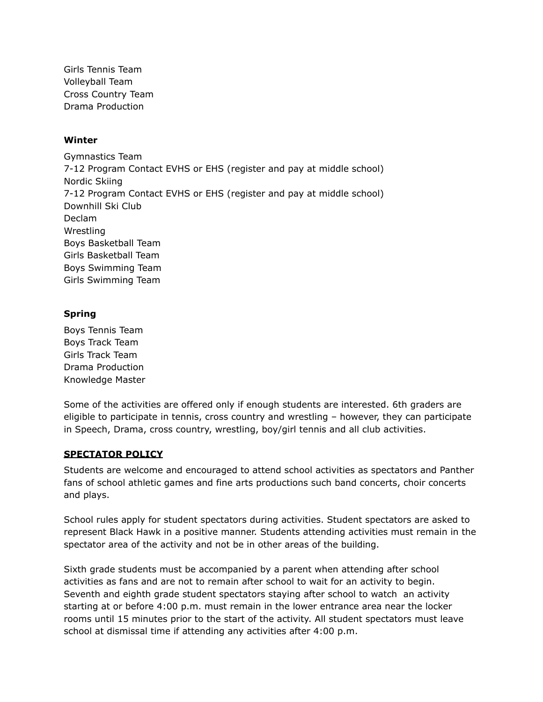Girls Tennis Team Volleyball Team Cross Country Team Drama Production

#### **Winter**

Gymnastics Team 7-12 Program Contact EVHS or EHS (register and pay at middle school) Nordic Skiing 7-12 Program Contact EVHS or EHS (register and pay at middle school) Downhill Ski Club Declam Wrestling Boys Basketball Team Girls Basketball Team Boys Swimming Team Girls Swimming Team

## **Spring**

Boys Tennis Team Boys Track Team Girls Track Team Drama Production Knowledge Master

Some of the activities are offered only if enough students are interested. 6th graders are eligible to participate in tennis, cross country and wrestling – however, they can participate in Speech, Drama, cross country, wrestling, boy/girl tennis and all club activities.

## **SPECTATOR POLICY**

Students are welcome and encouraged to attend school activities as spectators and Panther fans of school athletic games and fine arts productions such band concerts, choir concerts and plays.

School rules apply for student spectators during activities. Student spectators are asked to represent Black Hawk in a positive manner. Students attending activities must remain in the spectator area of the activity and not be in other areas of the building.

Sixth grade students must be accompanied by a parent when attending after school activities as fans and are not to remain after school to wait for an activity to begin. Seventh and eighth grade student spectators staying after school to watch an activity starting at or before 4:00 p.m. must remain in the lower entrance area near the locker rooms until 15 minutes prior to the start of the activity. All student spectators must leave school at dismissal time if attending any activities after 4:00 p.m.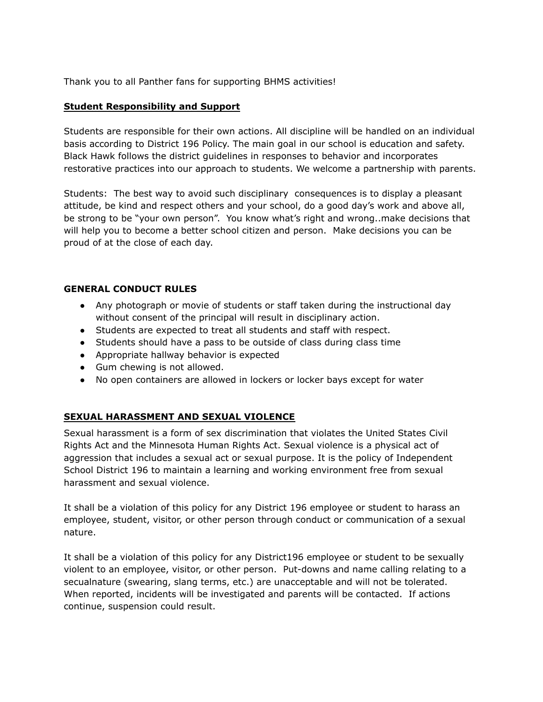Thank you to all Panther fans for supporting BHMS activities!

#### **Student Responsibility and Support**

Students are responsible for their own actions. All discipline will be handled on an individual basis according to District 196 Policy. The main goal in our school is education and safety. Black Hawk follows the district guidelines in responses to behavior and incorporates restorative practices into our approach to students. We welcome a partnership with parents.

Students: The best way to avoid such disciplinary consequences is to display a pleasant attitude, be kind and respect others and your school, do a good day's work and above all, be strong to be "your own person". You know what's right and wrong..make decisions that will help you to become a better school citizen and person. Make decisions you can be proud of at the close of each day.

#### **GENERAL CONDUCT RULES**

- Any photograph or movie of students or staff taken during the instructional day without consent of the principal will result in disciplinary action.
- Students are expected to treat all students and staff with respect.
- Students should have a pass to be outside of class during class time
- Appropriate hallway behavior is expected
- Gum chewing is not allowed.
- No open containers are allowed in lockers or locker bays except for water

## **SEXUAL HARASSMENT AND SEXUAL VIOLENCE**

Sexual harassment is a form of sex discrimination that violates the United States Civil Rights Act and the Minnesota Human Rights Act. Sexual violence is a physical act of aggression that includes a sexual act or sexual purpose. It is the policy of Independent School District 196 to maintain a learning and working environment free from sexual harassment and sexual violence.

It shall be a violation of this policy for any District 196 employee or student to harass an employee, student, visitor, or other person through conduct or communication of a sexual nature.

It shall be a violation of this policy for any District196 employee or student to be sexually violent to an employee, visitor, or other person. Put-downs and name calling relating to a secualnature (swearing, slang terms, etc.) are unacceptable and will not be tolerated. When reported, incidents will be investigated and parents will be contacted. If actions continue, suspension could result.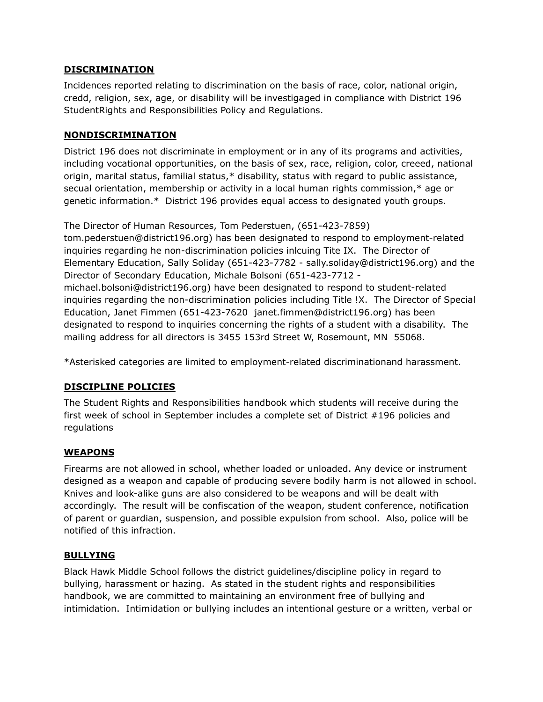#### **DISCRIMINATION**

Incidences reported relating to discrimination on the basis of race, color, national origin, credd, religion, sex, age, or disability will be investigaged in compliance with District 196 StudentRights and Responsibilities Policy and Regulations.

#### **NONDISCRIMINATION**

District 196 does not discriminate in employment or in any of its programs and activities, including vocational opportunities, on the basis of sex, race, religion, color, creeed, national origin, marital status, familial status,\* disability, status with regard to public assistance, secual orientation, membership or activity in a local human rights commission,\* age or genetic information.\* District 196 provides equal access to designated youth groups.

The Director of Human Resources, Tom Pederstuen, (651-423-7859) tom.pederstuen@district196.org) has been designated to respond to employment-related inquiries regarding he non-discrimination policies inlcuing Tite IX. The Director of Elementary Education, Sally Soliday (651-423-7782 - sally.soliday@district196.org) and the Director of Secondary Education, Michale Bolsoni (651-423-7712 michael.bolsoni@district196.org) have been designated to respond to student-related inquiries regarding the non-discrimination policies including Title !X. The Director of Special Education, Janet Fimmen (651-423-7620 janet.fimmen@district196.org) has been designated to respond to inquiries concerning the rights of a student with a disability. The mailing address for all directors is 3455 153rd Street W, Rosemount, MN 55068.

\*Asterisked categories are limited to employment-related discriminationand harassment.

## **DISCIPLINE POLICIES**

The Student Rights and Responsibilities handbook which students will receive during the first week of school in September includes a complete set of District #196 policies and regulations

## **WEAPONS**

Firearms are not allowed in school, whether loaded or unloaded. Any device or instrument designed as a weapon and capable of producing severe bodily harm is not allowed in school. Knives and look-alike guns are also considered to be weapons and will be dealt with accordingly. The result will be confiscation of the weapon, student conference, notification of parent or guardian, suspension, and possible expulsion from school. Also, police will be notified of this infraction.

## **BULLYING**

Black Hawk Middle School follows the district guidelines/discipline policy in regard to bullying, harassment or hazing. As stated in the student rights and responsibilities handbook, we are committed to maintaining an environment free of bullying and intimidation. Intimidation or bullying includes an intentional gesture or a written, verbal or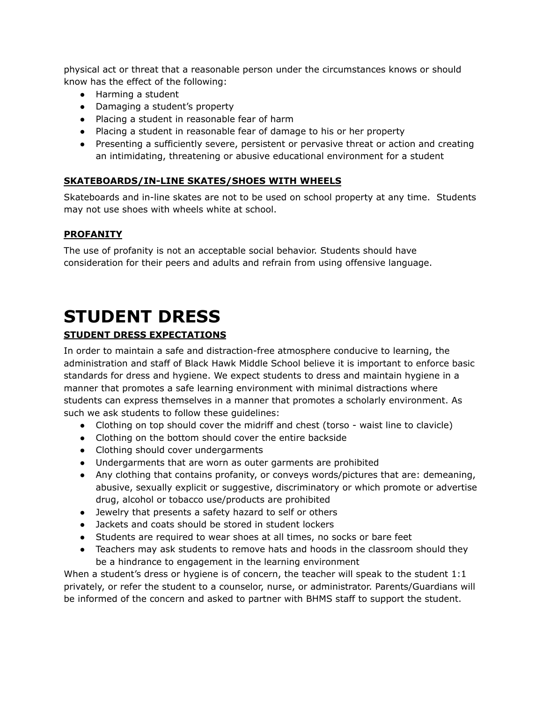physical act or threat that a reasonable person under the circumstances knows or should know has the effect of the following:

- Harming a student
- Damaging a student's property
- Placing a student in reasonable fear of harm
- Placing a student in reasonable fear of damage to his or her property
- Presenting a sufficiently severe, persistent or pervasive threat or action and creating an intimidating, threatening or abusive educational environment for a student

## **SKATEBOARDS/IN-LINE SKATES/SHOES WITH WHEELS**

Skateboards and in-line skates are not to be used on school property at any time. Students may not use shoes with wheels white at school.

## **PROFANITY**

The use of profanity is not an acceptable social behavior. Students should have consideration for their peers and adults and refrain from using offensive language.

## **STUDENT DRESS**

## **STUDENT DRESS EXPECTATIONS**

In order to maintain a safe and distraction-free atmosphere conducive to learning, the administration and staff of Black Hawk Middle School believe it is important to enforce basic standards for dress and hygiene. We expect students to dress and maintain hygiene in a manner that promotes a safe learning environment with minimal distractions where students can express themselves in a manner that promotes a scholarly environment. As such we ask students to follow these guidelines:

- Clothing on top should cover the midriff and chest (torso waist line to clavicle)
- Clothing on the bottom should cover the entire backside
- Clothing should cover undergarments
- Undergarments that are worn as outer garments are prohibited
- Any clothing that contains profanity, or conveys words/pictures that are: demeaning, abusive, sexually explicit or suggestive, discriminatory or which promote or advertise drug, alcohol or tobacco use/products are prohibited
- Jewelry that presents a safety hazard to self or others
- Jackets and coats should be stored in student lockers
- Students are required to wear shoes at all times, no socks or bare feet
- Teachers may ask students to remove hats and hoods in the classroom should they be a hindrance to engagement in the learning environment

When a student's dress or hygiene is of concern, the teacher will speak to the student 1:1 privately, or refer the student to a counselor, nurse, or administrator. Parents/Guardians will be informed of the concern and asked to partner with BHMS staff to support the student.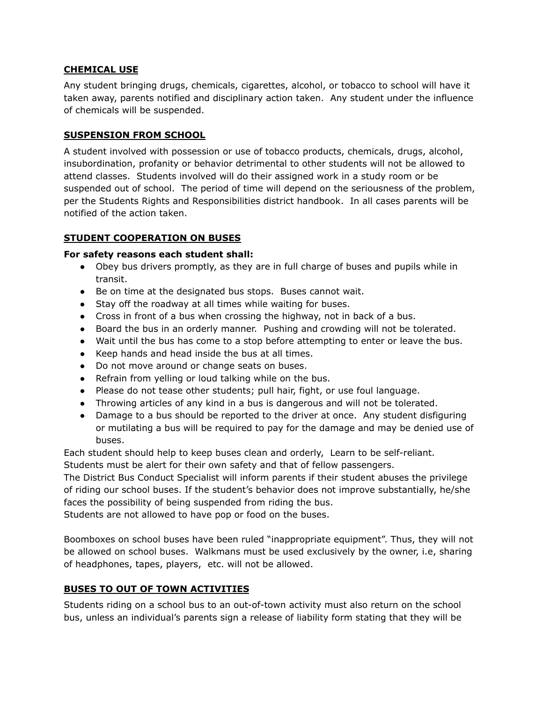#### **CHEMICAL USE**

Any student bringing drugs, chemicals, cigarettes, alcohol, or tobacco to school will have it taken away, parents notified and disciplinary action taken. Any student under the influence of chemicals will be suspended.

#### **SUSPENSION FROM SCHOOL**

A student involved with possession or use of tobacco products, chemicals, drugs, alcohol, insubordination, profanity or behavior detrimental to other students will not be allowed to attend classes. Students involved will do their assigned work in a study room or be suspended out of school. The period of time will depend on the seriousness of the problem, per the Students Rights and Responsibilities district handbook. In all cases parents will be notified of the action taken.

## **STUDENT COOPERATION ON BUSES**

#### **For safety reasons each student shall:**

- Obey bus drivers promptly, as they are in full charge of buses and pupils while in transit.
- Be on time at the designated bus stops. Buses cannot wait.
- Stay off the roadway at all times while waiting for buses.
- Cross in front of a bus when crossing the highway, not in back of a bus.
- Board the bus in an orderly manner. Pushing and crowding will not be tolerated.
- Wait until the bus has come to a stop before attempting to enter or leave the bus.
- Keep hands and head inside the bus at all times.
- Do not move around or change seats on buses.
- Refrain from yelling or loud talking while on the bus.
- Please do not tease other students; pull hair, fight, or use foul language.
- Throwing articles of any kind in a bus is dangerous and will not be tolerated.
- Damage to a bus should be reported to the driver at once. Any student disfiguring or mutilating a bus will be required to pay for the damage and may be denied use of buses.

Each student should help to keep buses clean and orderly, Learn to be self-reliant. Students must be alert for their own safety and that of fellow passengers.

The District Bus Conduct Specialist will inform parents if their student abuses the privilege of riding our school buses. If the student's behavior does not improve substantially, he/she faces the possibility of being suspended from riding the bus.

Students are not allowed to have pop or food on the buses.

Boomboxes on school buses have been ruled "inappropriate equipment". Thus, they will not be allowed on school buses. Walkmans must be used exclusively by the owner, i.e, sharing of headphones, tapes, players, etc. will not be allowed.

## **BUSES TO OUT OF TOWN ACTIVITIES**

Students riding on a school bus to an out-of-town activity must also return on the school bus, unless an individual's parents sign a release of liability form stating that they will be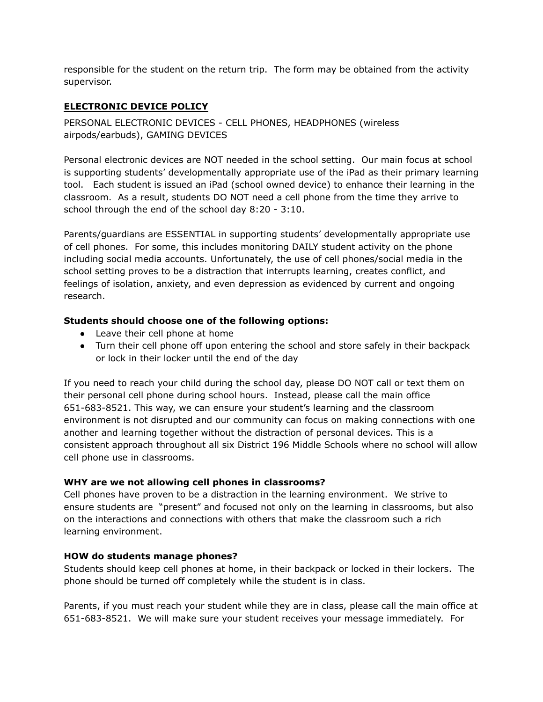responsible for the student on the return trip. The form may be obtained from the activity supervisor.

## **ELECTRONIC DEVICE POLICY**

PERSONAL ELECTRONIC DEVICES - CELL PHONES, HEADPHONES (wireless airpods/earbuds), GAMING DEVICES

Personal electronic devices are NOT needed in the school setting. Our main focus at school is supporting students' developmentally appropriate use of the iPad as their primary learning tool. Each student is issued an iPad (school owned device) to enhance their learning in the classroom. As a result, students DO NOT need a cell phone from the time they arrive to school through the end of the school day 8:20 - 3:10.

Parents/guardians are ESSENTIAL in supporting students' developmentally appropriate use of cell phones. For some, this includes monitoring DAILY student activity on the phone including social media accounts. Unfortunately, the use of cell phones/social media in the school setting proves to be a distraction that interrupts learning, creates conflict, and feelings of isolation, anxiety, and even depression as evidenced by current and ongoing research.

## **Students should choose one of the following options:**

- Leave their cell phone at home
- Turn their cell phone off upon entering the school and store safely in their backpack or lock in their locker until the end of the day

If you need to reach your child during the school day, please DO NOT call or text them on their personal cell phone during school hours. Instead, please call the main office 651-683-8521. This way, we can ensure your student's learning and the classroom environment is not disrupted and our community can focus on making connections with one another and learning together without the distraction of personal devices. This is a consistent approach throughout all six District 196 Middle Schools where no school will allow cell phone use in classrooms.

## **WHY are we not allowing cell phones in classrooms?**

Cell phones have proven to be a distraction in the learning environment. We strive to ensure students are "present" and focused not only on the learning in classrooms, but also on the interactions and connections with others that make the classroom such a rich learning environment.

## **HOW do students manage phones?**

Students should keep cell phones at home, in their backpack or locked in their lockers. The phone should be turned off completely while the student is in class.

Parents, if you must reach your student while they are in class, please call the main office at 651-683-8521. We will make sure your student receives your message immediately. For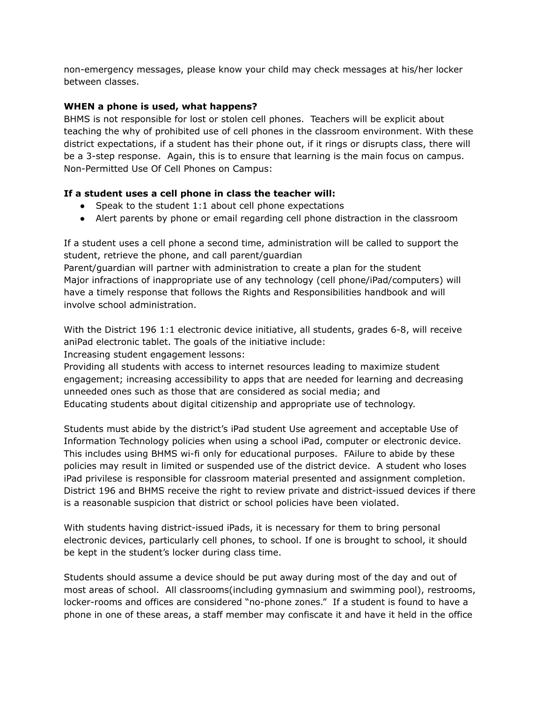non-emergency messages, please know your child may check messages at his/her locker between classes.

## **WHEN a phone is used, what happens?**

BHMS is not responsible for lost or stolen cell phones. Teachers will be explicit about teaching the why of prohibited use of cell phones in the classroom environment. With these district expectations, if a student has their phone out, if it rings or disrupts class, there will be a 3-step response. Again, this is to ensure that learning is the main focus on campus. Non-Permitted Use Of Cell Phones on Campus:

## **If a student uses a cell phone in class the teacher will:**

- Speak to the student 1:1 about cell phone expectations
- Alert parents by phone or email regarding cell phone distraction in the classroom

If a student uses a cell phone a second time, administration will be called to support the student, retrieve the phone, and call parent/guardian

Parent/guardian will partner with administration to create a plan for the student Major infractions of inappropriate use of any technology (cell phone/iPad/computers) will have a timely response that follows the Rights and Responsibilities handbook and will involve school administration.

With the District 196 1:1 electronic device initiative, all students, grades 6-8, will receive aniPad electronic tablet. The goals of the initiative include:

Increasing student engagement lessons:

Providing all students with access to internet resources leading to maximize student engagement; increasing accessibility to apps that are needed for learning and decreasing unneeded ones such as those that are considered as social media; and Educating students about digital citizenship and appropriate use of technology.

Students must abide by the district's iPad student Use agreement and acceptable Use of Information Technology policies when using a school iPad, computer or electronic device. This includes using BHMS wi-fi only for educational purposes. FAilure to abide by these policies may result in limited or suspended use of the district device. A student who loses iPad privilese is responsible for classroom material presented and assignment completion. District 196 and BHMS receive the right to review private and district-issued devices if there is a reasonable suspicion that district or school policies have been violated.

With students having district-issued iPads, it is necessary for them to bring personal electronic devices, particularly cell phones, to school. If one is brought to school, it should be kept in the student's locker during class time.

Students should assume a device should be put away during most of the day and out of most areas of school. All classrooms(including gymnasium and swimming pool), restrooms, locker-rooms and offices are considered "no-phone zones." If a student is found to have a phone in one of these areas, a staff member may confiscate it and have it held in the office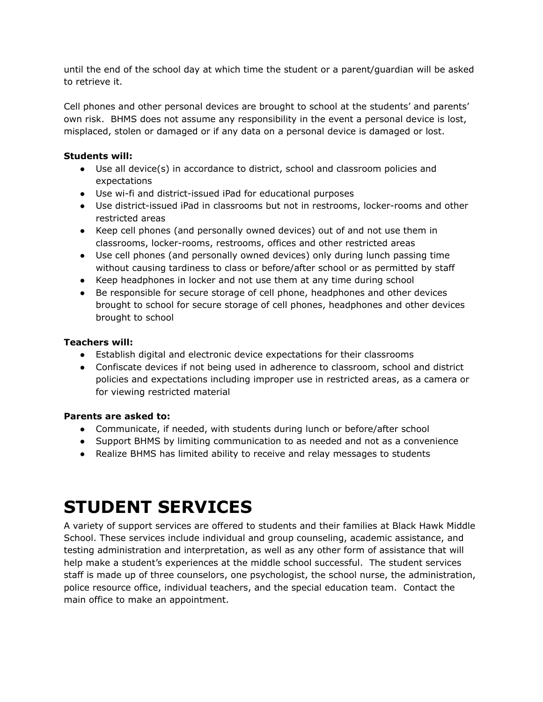until the end of the school day at which time the student or a parent/guardian will be asked to retrieve it.

Cell phones and other personal devices are brought to school at the students' and parents' own risk. BHMS does not assume any responsibility in the event a personal device is lost, misplaced, stolen or damaged or if any data on a personal device is damaged or lost.

## **Students will:**

- Use all device(s) in accordance to district, school and classroom policies and expectations
- Use wi-fi and district-issued iPad for educational purposes
- Use district-issued iPad in classrooms but not in restrooms, locker-rooms and other restricted areas
- Keep cell phones (and personally owned devices) out of and not use them in classrooms, locker-rooms, restrooms, offices and other restricted areas
- Use cell phones (and personally owned devices) only during lunch passing time without causing tardiness to class or before/after school or as permitted by staff
- Keep headphones in locker and not use them at any time during school
- Be responsible for secure storage of cell phone, headphones and other devices brought to school for secure storage of cell phones, headphones and other devices brought to school

## **Teachers will:**

- Establish digital and electronic device expectations for their classrooms
- Confiscate devices if not being used in adherence to classroom, school and district policies and expectations including improper use in restricted areas, as a camera or for viewing restricted material

## **Parents are asked to:**

- Communicate, if needed, with students during lunch or before/after school
- Support BHMS by limiting communication to as needed and not as a convenience
- Realize BHMS has limited ability to receive and relay messages to students

## **STUDENT SERVICES**

A variety of support services are offered to students and their families at Black Hawk Middle School. These services include individual and group counseling, academic assistance, and testing administration and interpretation, as well as any other form of assistance that will help make a student's experiences at the middle school successful. The student services staff is made up of three counselors, one psychologist, the school nurse, the administration, police resource office, individual teachers, and the special education team. Contact the main office to make an appointment.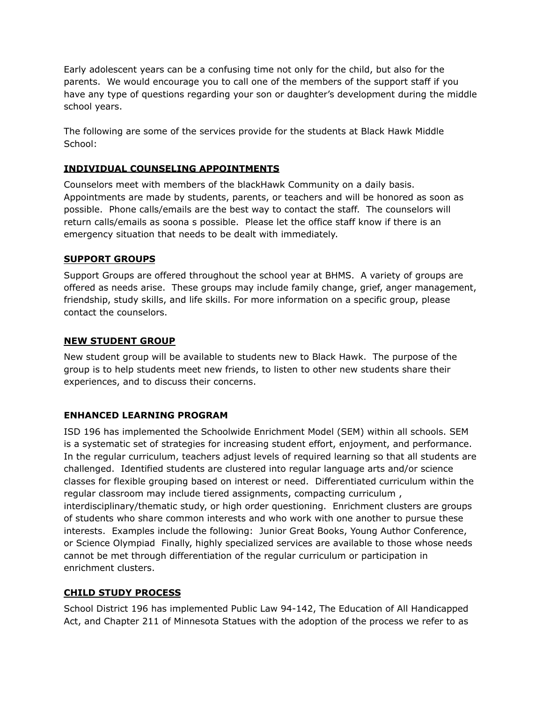Early adolescent years can be a confusing time not only for the child, but also for the parents. We would encourage you to call one of the members of the support staff if you have any type of questions regarding your son or daughter's development during the middle school years.

The following are some of the services provide for the students at Black Hawk Middle School:

## **INDIVIDUAL COUNSELING APPOINTMENTS**

Counselors meet with members of the blackHawk Community on a daily basis. Appointments are made by students, parents, or teachers and will be honored as soon as possible. Phone calls/emails are the best way to contact the staff. The counselors will return calls/emails as soona s possible. Please let the office staff know if there is an emergency situation that needs to be dealt with immediately.

#### **SUPPORT GROUPS**

Support Groups are offered throughout the school year at BHMS. A variety of groups are offered as needs arise. These groups may include family change, grief, anger management, friendship, study skills, and life skills. For more information on a specific group, please contact the counselors.

#### **NEW STUDENT GROUP**

New student group will be available to students new to Black Hawk. The purpose of the group is to help students meet new friends, to listen to other new students share their experiences, and to discuss their concerns.

## **ENHANCED LEARNING PROGRAM**

ISD 196 has implemented the Schoolwide Enrichment Model (SEM) within all schools. SEM is a systematic set of strategies for increasing student effort, enjoyment, and performance. In the regular curriculum, teachers adjust levels of required learning so that all students are challenged. Identified students are clustered into regular language arts and/or science classes for flexible grouping based on interest or need. Differentiated curriculum within the regular classroom may include tiered assignments, compacting curriculum , interdisciplinary/thematic study, or high order questioning. Enrichment clusters are groups of students who share common interests and who work with one another to pursue these interests. Examples include the following: Junior Great Books, Young Author Conference, or Science Olympiad Finally, highly specialized services are available to those whose needs cannot be met through differentiation of the regular curriculum or participation in enrichment clusters.

## **CHILD STUDY PROCESS**

School District 196 has implemented Public Law 94-142, The Education of All Handicapped Act, and Chapter 211 of Minnesota Statues with the adoption of the process we refer to as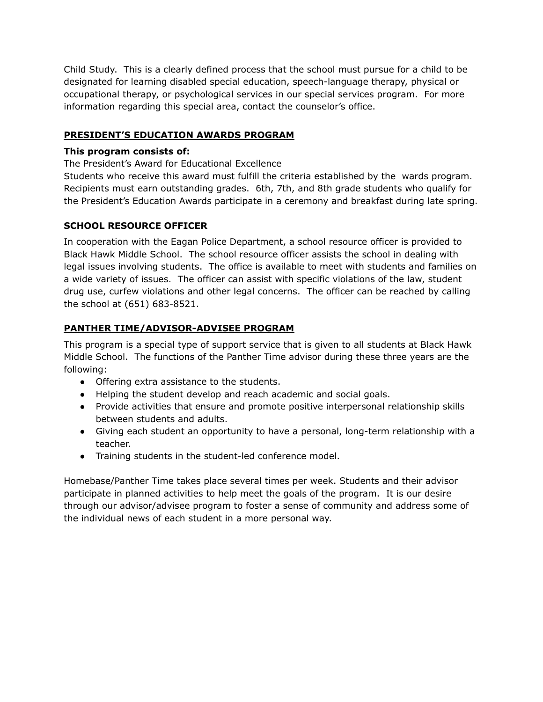Child Study. This is a clearly defined process that the school must pursue for a child to be designated for learning disabled special education, speech-language therapy, physical or occupational therapy, or psychological services in our special services program. For more information regarding this special area, contact the counselor's office.

## **PRESIDENT'S EDUCATION AWARDS PROGRAM**

## **This program consists of:**

The President's Award for Educational Excellence

Students who receive this award must fulfill the criteria established by the wards program. Recipients must earn outstanding grades. 6th, 7th, and 8th grade students who qualify for the President's Education Awards participate in a ceremony and breakfast during late spring.

#### **SCHOOL RESOURCE OFFICER**

In cooperation with the Eagan Police Department, a school resource officer is provided to Black Hawk Middle School. The school resource officer assists the school in dealing with legal issues involving students. The office is available to meet with students and families on a wide variety of issues. The officer can assist with specific violations of the law, student drug use, curfew violations and other legal concerns. The officer can be reached by calling the school at (651) 683-8521.

## **PANTHER TIME/ADVISOR-ADVISEE PROGRAM**

This program is a special type of support service that is given to all students at Black Hawk Middle School. The functions of the Panther Time advisor during these three years are the following:

- Offering extra assistance to the students.
- Helping the student develop and reach academic and social goals.
- Provide activities that ensure and promote positive interpersonal relationship skills between students and adults.
- Giving each student an opportunity to have a personal, long-term relationship with a teacher.
- Training students in the student-led conference model.

Homebase/Panther Time takes place several times per week. Students and their advisor participate in planned activities to help meet the goals of the program. It is our desire through our advisor/advisee program to foster a sense of community and address some of the individual news of each student in a more personal way.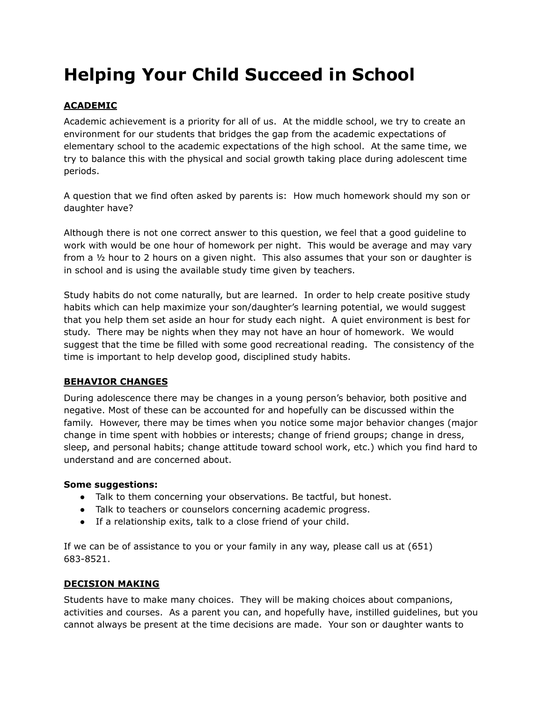## **Helping Your Child Succeed in School**

## **ACADEMIC**

Academic achievement is a priority for all of us. At the middle school, we try to create an environment for our students that bridges the gap from the academic expectations of elementary school to the academic expectations of the high school. At the same time, we try to balance this with the physical and social growth taking place during adolescent time periods.

A question that we find often asked by parents is: How much homework should my son or daughter have?

Although there is not one correct answer to this question, we feel that a good guideline to work with would be one hour of homework per night. This would be average and may vary from a ½ hour to 2 hours on a given night. This also assumes that your son or daughter is in school and is using the available study time given by teachers.

Study habits do not come naturally, but are learned. In order to help create positive study habits which can help maximize your son/daughter's learning potential, we would suggest that you help them set aside an hour for study each night. A quiet environment is best for study. There may be nights when they may not have an hour of homework. We would suggest that the time be filled with some good recreational reading. The consistency of the time is important to help develop good, disciplined study habits.

## **BEHAVIOR CHANGES**

During adolescence there may be changes in a young person's behavior, both positive and negative. Most of these can be accounted for and hopefully can be discussed within the family. However, there may be times when you notice some major behavior changes (major change in time spent with hobbies or interests; change of friend groups; change in dress, sleep, and personal habits; change attitude toward school work, etc.) which you find hard to understand and are concerned about.

## **Some suggestions:**

- Talk to them concerning your observations. Be tactful, but honest.
- Talk to teachers or counselors concerning academic progress.
- If a relationship exits, talk to a close friend of your child.

If we can be of assistance to you or your family in any way, please call us at (651) 683-8521.

## **DECISION MAKING**

Students have to make many choices. They will be making choices about companions, activities and courses. As a parent you can, and hopefully have, instilled guidelines, but you cannot always be present at the time decisions are made. Your son or daughter wants to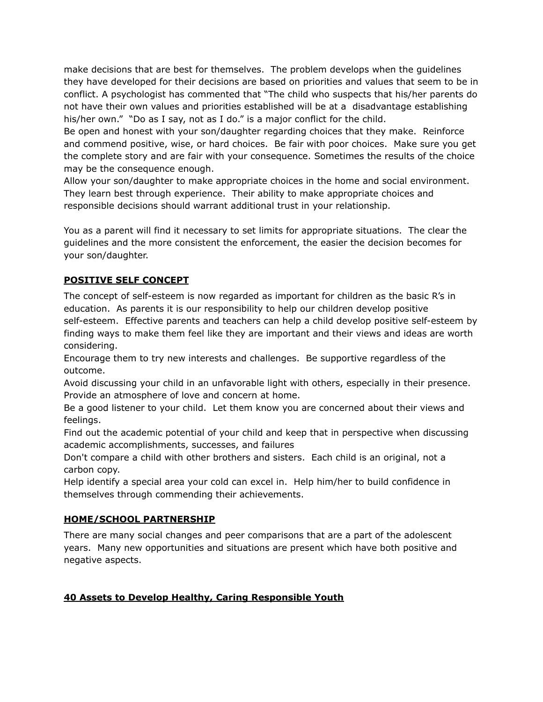make decisions that are best for themselves. The problem develops when the guidelines they have developed for their decisions are based on priorities and values that seem to be in conflict. A psychologist has commented that "The child who suspects that his/her parents do not have their own values and priorities established will be at a disadvantage establishing his/her own." "Do as I say, not as I do." is a major conflict for the child.

Be open and honest with your son/daughter regarding choices that they make. Reinforce and commend positive, wise, or hard choices. Be fair with poor choices. Make sure you get the complete story and are fair with your consequence. Sometimes the results of the choice may be the consequence enough.

Allow your son/daughter to make appropriate choices in the home and social environment. They learn best through experience. Their ability to make appropriate choices and responsible decisions should warrant additional trust in your relationship.

You as a parent will find it necessary to set limits for appropriate situations. The clear the guidelines and the more consistent the enforcement, the easier the decision becomes for your son/daughter.

## **POSITIVE SELF CONCEPT**

The concept of self-esteem is now regarded as important for children as the basic R's in education. As parents it is our responsibility to help our children develop positive self-esteem. Effective parents and teachers can help a child develop positive self-esteem by finding ways to make them feel like they are important and their views and ideas are worth considering.

Encourage them to try new interests and challenges. Be supportive regardless of the outcome.

Avoid discussing your child in an unfavorable light with others, especially in their presence. Provide an atmosphere of love and concern at home.

Be a good listener to your child. Let them know you are concerned about their views and feelings.

Find out the academic potential of your child and keep that in perspective when discussing academic accomplishments, successes, and failures

Don't compare a child with other brothers and sisters. Each child is an original, not a carbon copy.

Help identify a special area your cold can excel in. Help him/her to build confidence in themselves through commending their achievements.

## **HOME/SCHOOL PARTNERSHIP**

There are many social changes and peer comparisons that are a part of the adolescent years. Many new opportunities and situations are present which have both positive and negative aspects.

## **40 Assets to Develop Healthy, Caring Responsible Youth**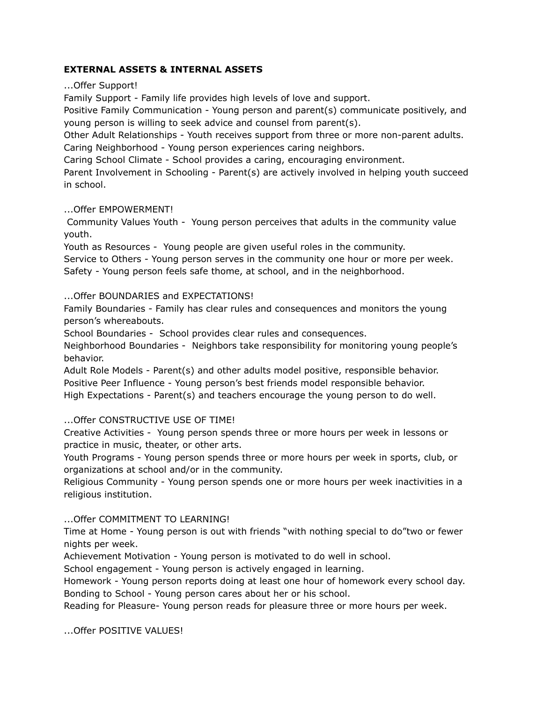#### **EXTERNAL ASSETS & INTERNAL ASSETS**

...Offer Support!

Family Support - Family life provides high levels of love and support.

Positive Family Communication - Young person and parent(s) communicate positively, and young person is willing to seek advice and counsel from parent(s).

Other Adult Relationships - Youth receives support from three or more non-parent adults. Caring Neighborhood - Young person experiences caring neighbors.

Caring School Climate - School provides a caring, encouraging environment.

Parent Involvement in Schooling - Parent(s) are actively involved in helping youth succeed in school.

...Offer EMPOWERMENT!

Community Values Youth - Young person perceives that adults in the community value youth.

Youth as Resources - Young people are given useful roles in the community. Service to Others - Young person serves in the community one hour or more per week. Safety - Young person feels safe thome, at school, and in the neighborhood.

#### ...Offer BOUNDARIES and EXPECTATIONS!

Family Boundaries - Family has clear rules and consequences and monitors the young person's whereabouts.

School Boundaries - School provides clear rules and consequences.

Neighborhood Boundaries - Neighbors take responsibility for monitoring young people's behavior.

Adult Role Models - Parent(s) and other adults model positive, responsible behavior. Positive Peer Influence - Young person's best friends model responsible behavior. High Expectations - Parent(s) and teachers encourage the young person to do well.

## ...Offer CONSTRUCTIVE USE OF TIME!

Creative Activities - Young person spends three or more hours per week in lessons or practice in music, theater, or other arts.

Youth Programs - Young person spends three or more hours per week in sports, club, or organizations at school and/or in the community.

Religious Community - Young person spends one or more hours per week inactivities in a religious institution.

## ...Offer COMMITMENT TO LEARNING!

Time at Home - Young person is out with friends "with nothing special to do"two or fewer nights per week.

Achievement Motivation - Young person is motivated to do well in school.

School engagement - Young person is actively engaged in learning.

Homework - Young person reports doing at least one hour of homework every school day. Bonding to School - Young person cares about her or his school.

Reading for Pleasure- Young person reads for pleasure three or more hours per week.

...Offer POSITIVE VALUES!